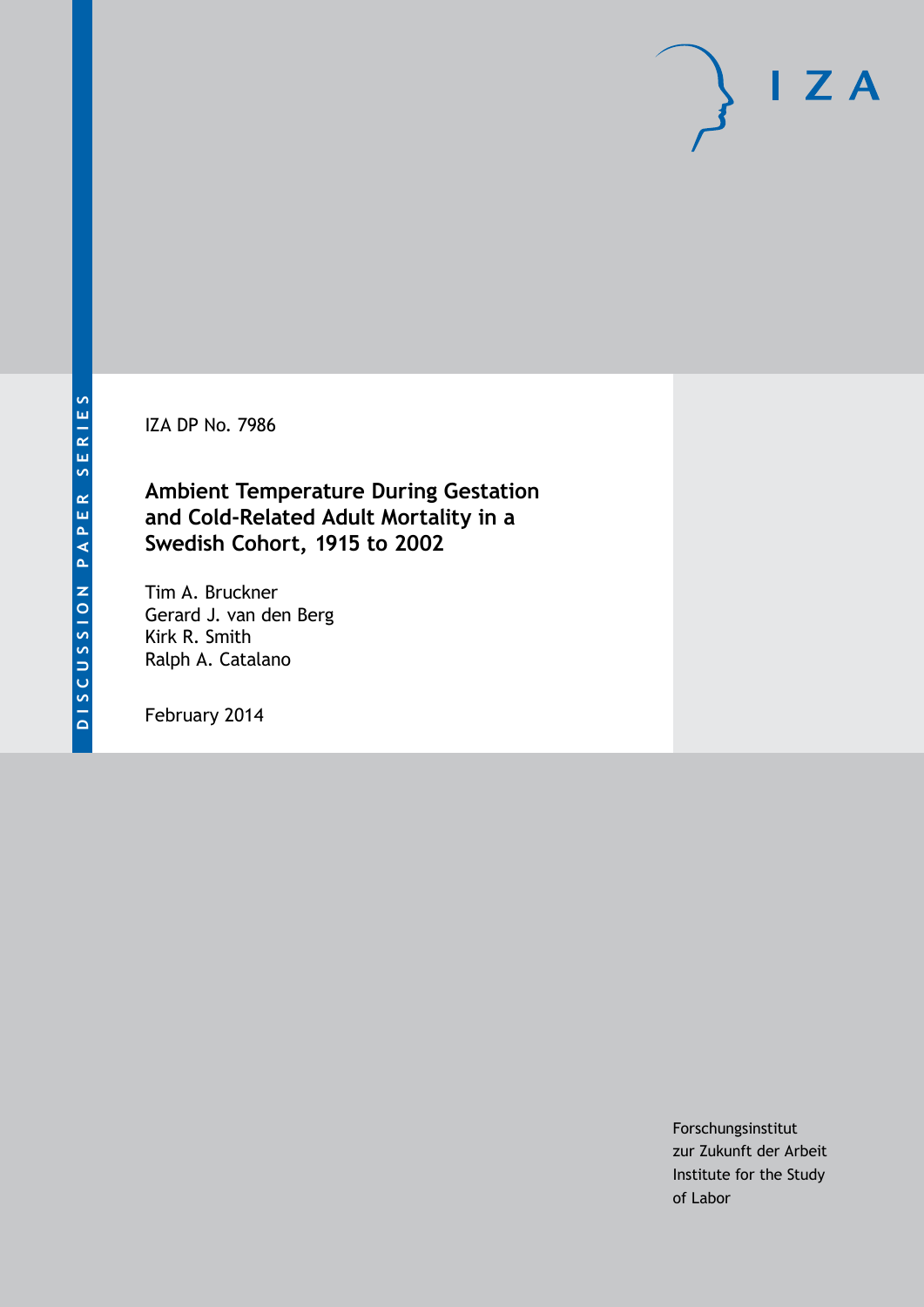IZA DP No. 7986

### **Ambient Temperature During Gestation and Cold-Related Adult Mortality in a Swedish Cohort, 1915 to 2002**

Tim A. Bruckner Gerard J. van den Berg Kirk R. Smith Ralph A. Catalano

February 2014

Forschungsinstitut zur Zukunft der Arbeit Institute for the Study of Labor

 $I Z A$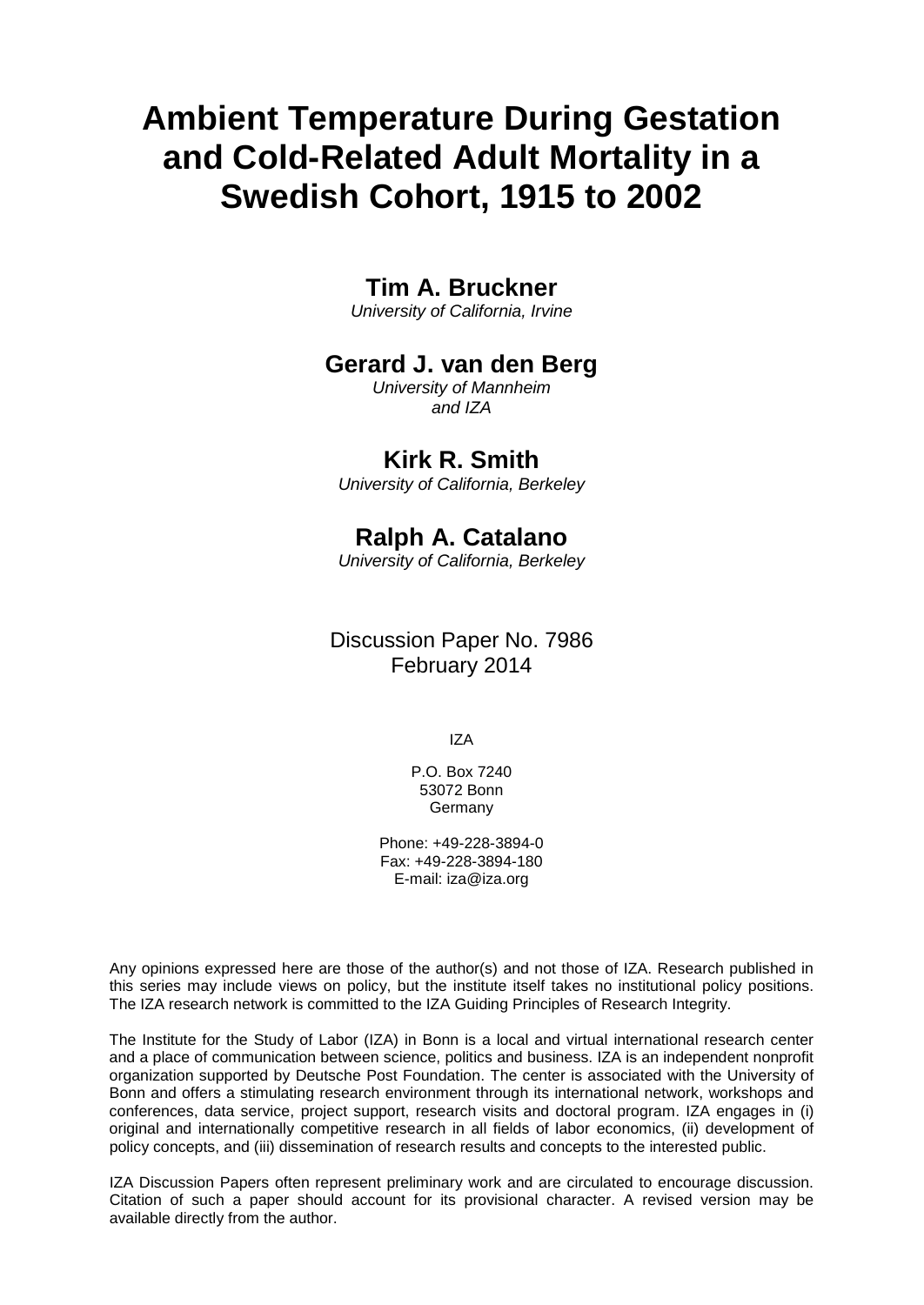# **Ambient Temperature During Gestation and Cold-Related Adult Mortality in a Swedish Cohort, 1915 to 2002**

### **Tim A. Bruckner**

*University of California, Irvine*

### **Gerard J. van den Berg**

*University of Mannheim and IZA*

### **Kirk R. Smith**

*University of California, Berkeley*

## **Ralph A. Catalano**

*University of California, Berkeley*

### Discussion Paper No. 7986 February 2014

IZA

P.O. Box 7240 53072 Bonn Germany

Phone: +49-228-3894-0 Fax: +49-228-3894-180 E-mail: [iza@iza.org](mailto:iza@iza.org)

Any opinions expressed here are those of the author(s) and not those of IZA. Research published in this series may include views on policy, but the institute itself takes no institutional policy positions. The IZA research network is committed to the IZA Guiding Principles of Research Integrity.

The Institute for the Study of Labor (IZA) in Bonn is a local and virtual international research center and a place of communication between science, politics and business. IZA is an independent nonprofit organization supported by Deutsche Post Foundation. The center is associated with the University of Bonn and offers a stimulating research environment through its international network, workshops and conferences, data service, project support, research visits and doctoral program. IZA engages in (i) original and internationally competitive research in all fields of labor economics, (ii) development of policy concepts, and (iii) dissemination of research results and concepts to the interested public.

<span id="page-1-0"></span>IZA Discussion Papers often represent preliminary work and are circulated to encourage discussion. Citation of such a paper should account for its provisional character. A revised version may be available directly from the author.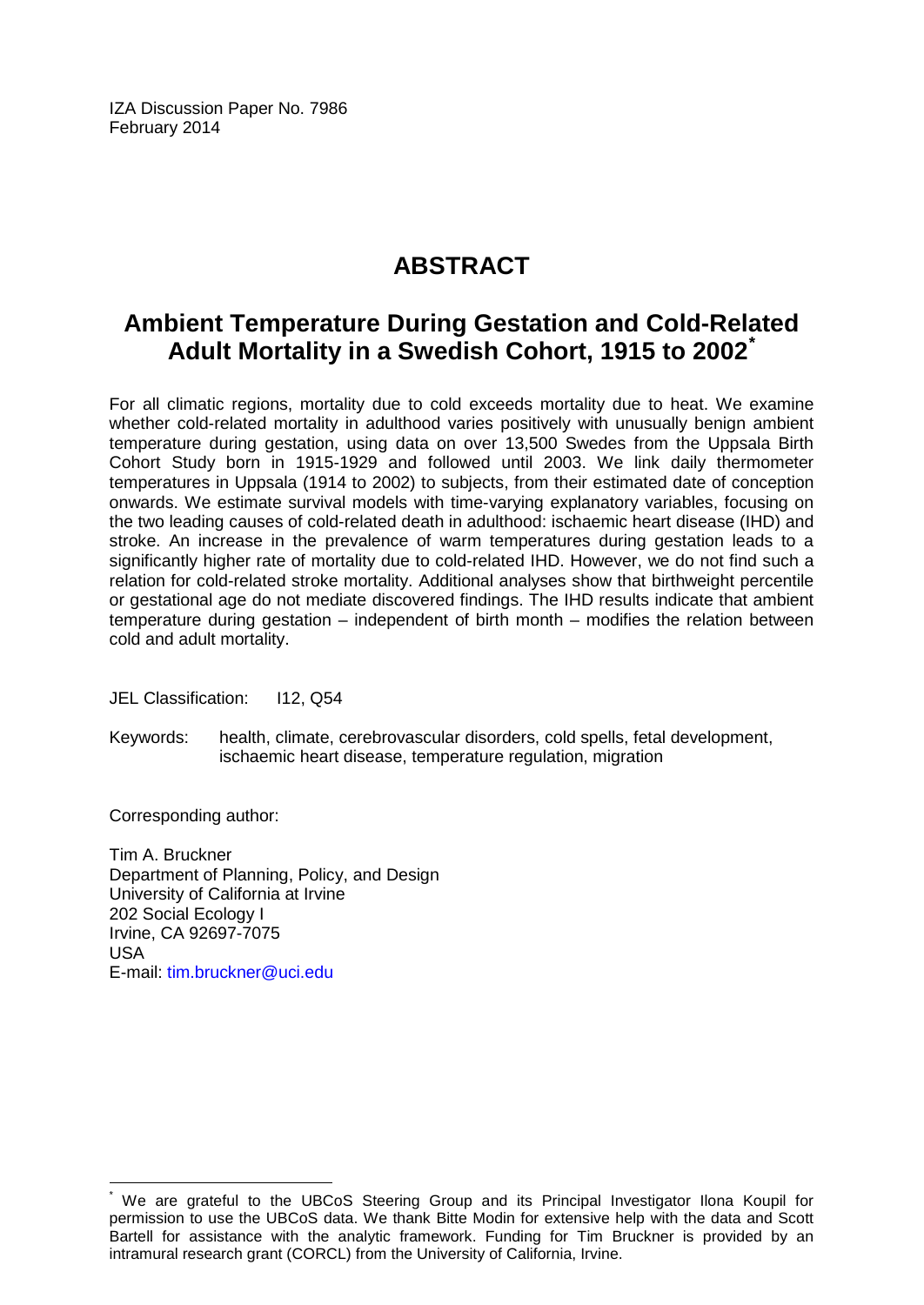IZA Discussion Paper No. 7986 February 2014

# **ABSTRACT**

# **Ambient Temperature During Gestation and Cold-Related Adult Mortality in a Swedish Cohort, 1915 to 2002[\\*](#page-1-0)**

For all climatic regions, mortality due to cold exceeds mortality due to heat. We examine whether cold-related mortality in adulthood varies positively with unusually benign ambient temperature during gestation, using data on over 13,500 Swedes from the Uppsala Birth Cohort Study born in 1915-1929 and followed until 2003. We link daily thermometer temperatures in Uppsala (1914 to 2002) to subjects, from their estimated date of conception onwards. We estimate survival models with time-varying explanatory variables, focusing on the two leading causes of cold-related death in adulthood: ischaemic heart disease (IHD) and stroke. An increase in the prevalence of warm temperatures during gestation leads to a significantly higher rate of mortality due to cold-related IHD. However, we do not find such a relation for cold-related stroke mortality. Additional analyses show that birthweight percentile or gestational age do not mediate discovered findings. The IHD results indicate that ambient temperature during gestation – independent of birth month – modifies the relation between cold and adult mortality.

JEL Classification: I12, Q54

Keywords: health, climate, cerebrovascular disorders, cold spells, fetal development, ischaemic heart disease, temperature regulation, migration

Corresponding author:

Tim A. Bruckner Department of Planning, Policy, and Design University of California at Irvine 202 Social Ecology I Irvine, CA 92697-7075 USA E-mail: [tim.bruckner@uci.edu](mailto:tim.bruckner@uci.edu)

We are grateful to the UBCoS Steering Group and its Principal Investigator Ilona Koupil for permission to use the UBCoS data. We thank Bitte Modin for extensive help with the data and Scott Bartell for assistance with the analytic framework. Funding for Tim Bruckner is provided by an intramural research grant (CORCL) from the University of California, Irvine.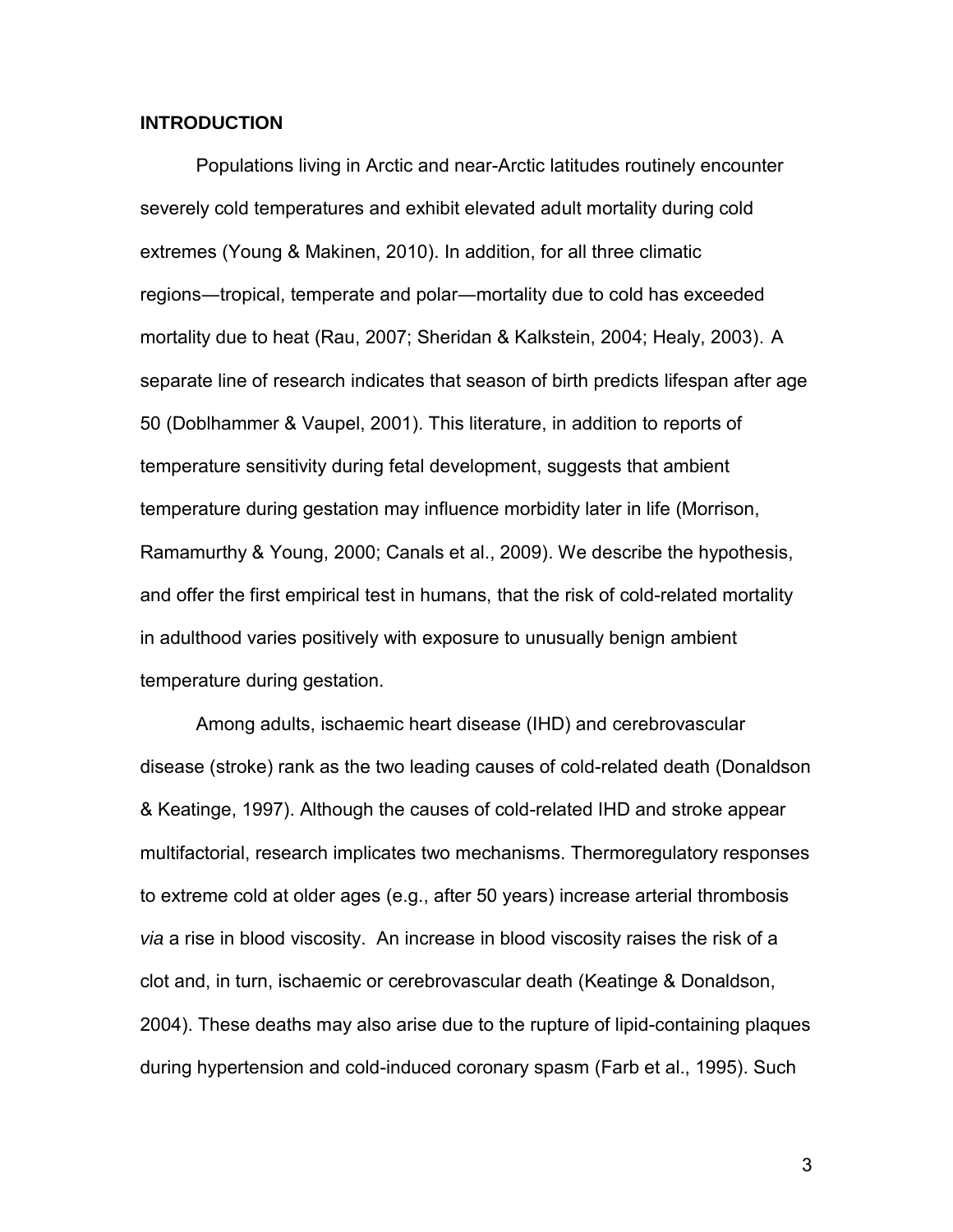#### **INTRODUCTION**

Populations living in Arctic and near-Arctic latitudes routinely encounter severely cold temperatures and exhibit elevated adult mortality during cold extremes (Young & Makinen, 2010). In addition, for all three climatic regions—tropical, temperate and polar—mortality due to cold has exceeded mortality due to heat (Rau, 2007; Sheridan & Kalkstein, 2004; Healy, 2003). A separate line of research indicates that season of birth predicts lifespan after age 50 (Doblhammer & Vaupel, 2001). This literature, in addition to reports of temperature sensitivity during fetal development, suggests that ambient temperature during gestation may influence morbidity later in life (Morrison, Ramamurthy & Young, 2000; Canals et al., 2009). We describe the hypothesis, and offer the first empirical test in humans, that the risk of cold-related mortality in adulthood varies positively with exposure to unusually benign ambient temperature during gestation.

Among adults, ischaemic heart disease (IHD) and cerebrovascular disease (stroke) rank as the two leading causes of cold-related death (Donaldson & Keatinge, 1997). Although the causes of cold-related IHD and stroke appear multifactorial, research implicates two mechanisms. Thermoregulatory responses to extreme cold at older ages (e.g., after 50 years) increase arterial thrombosis *via* a rise in blood viscosity. An increase in blood viscosity raises the risk of a clot and, in turn, ischaemic or cerebrovascular death (Keatinge & Donaldson, 2004). These deaths may also arise due to the rupture of lipid-containing plaques during hypertension and cold-induced coronary spasm (Farb et al., 1995). Such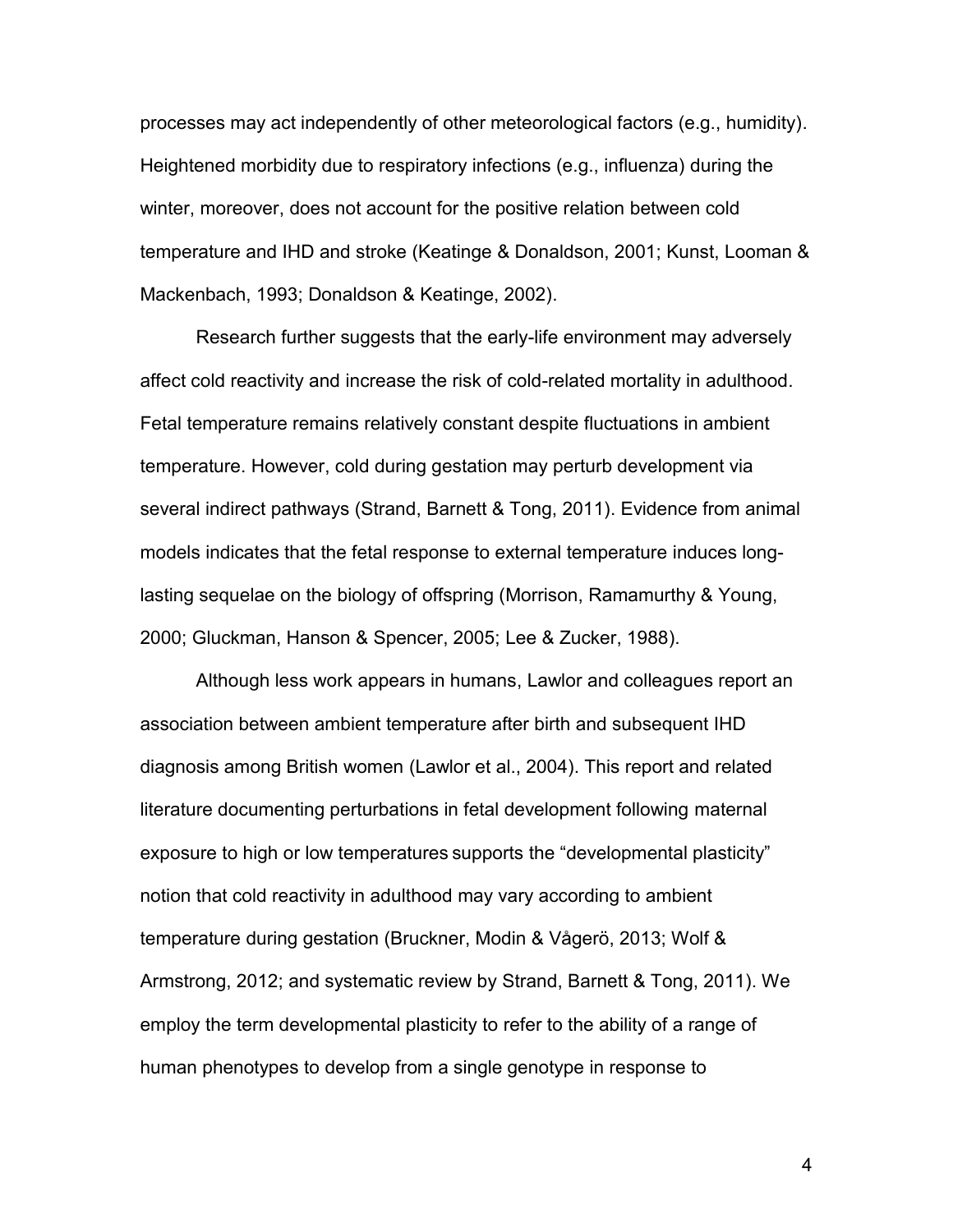processes may act independently of other meteorological factors (e.g., humidity). Heightened morbidity due to respiratory infections (e.g., influenza) during the winter, moreover, does not account for the positive relation between cold temperature and IHD and stroke (Keatinge & Donaldson, 2001; Kunst, Looman & Mackenbach, 1993; Donaldson & Keatinge, 2002).

Research further suggests that the early-life environment may adversely affect cold reactivity and increase the risk of cold-related mortality in adulthood. Fetal temperature remains relatively constant despite fluctuations in ambient temperature. However, cold during gestation may perturb development via several indirect pathways (Strand, Barnett & Tong, 2011). Evidence from animal models indicates that the fetal response to external temperature induces longlasting sequelae on the biology of offspring (Morrison, Ramamurthy & Young, 2000; Gluckman, Hanson & Spencer, 2005; Lee & Zucker, 1988).

Although less work appears in humans, Lawlor and colleagues report an association between ambient temperature after birth and subsequent IHD diagnosis among British women (Lawlor et al., 2004). This report and related literature documenting perturbations in fetal development following maternal exposure to high or low temperatures supports the "developmental plasticity" notion that cold reactivity in adulthood may vary according to ambient temperature during gestation (Bruckner, Modin & Vågerö, 2013; Wolf & Armstrong, 2012; and systematic review by Strand, Barnett & Tong, 2011). We employ the term developmental plasticity to refer to the ability of a range of human phenotypes to develop from a single genotype in response to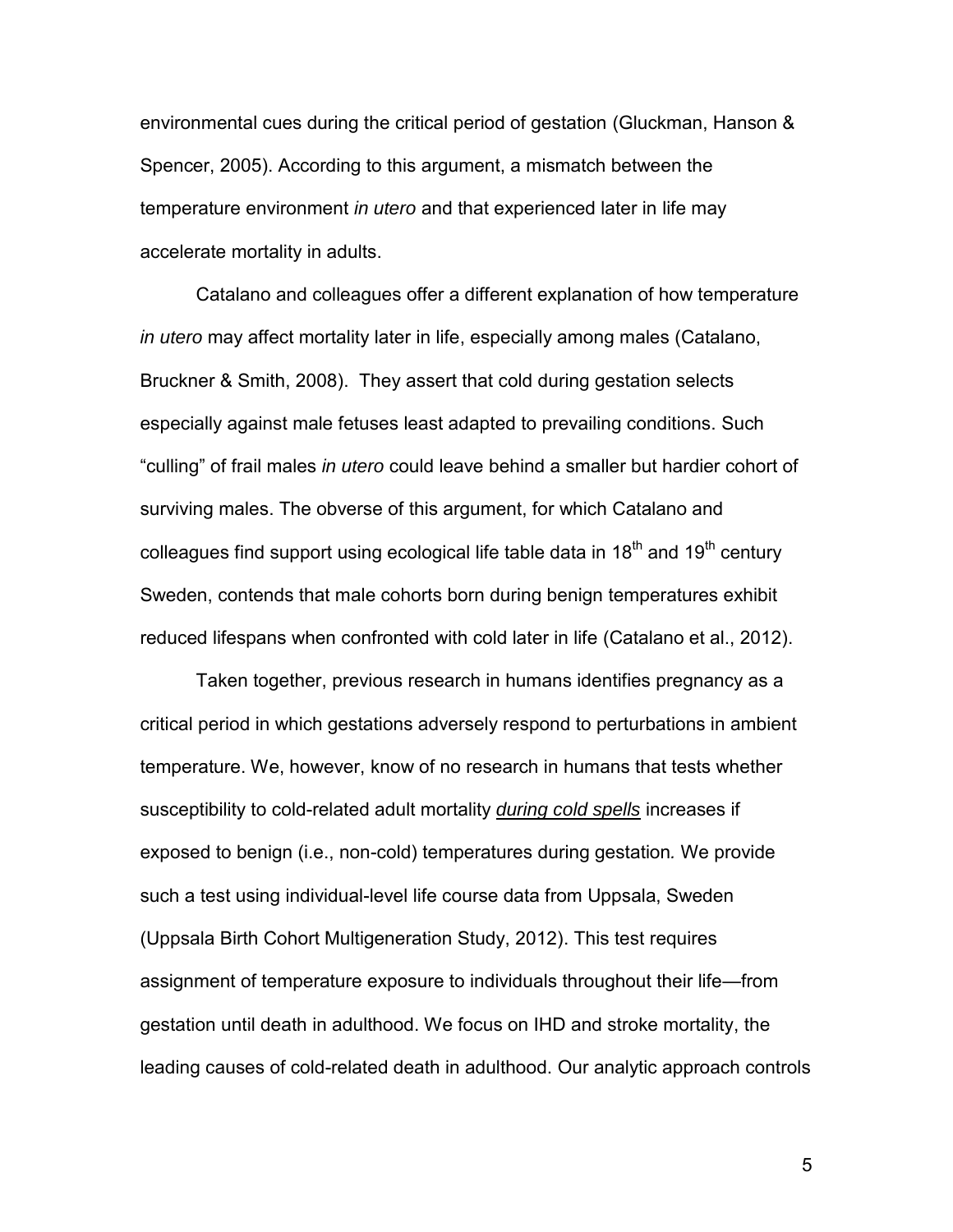environmental cues during the critical period of gestation (Gluckman, Hanson & Spencer, 2005). According to this argument, a mismatch between the temperature environment *in utero* and that experienced later in life may accelerate mortality in adults.

Catalano and colleagues offer a different explanation of how temperature *in utero* may affect mortality later in life, especially among males (Catalano, Bruckner & Smith, 2008). They assert that cold during gestation selects especially against male fetuses least adapted to prevailing conditions. Such "culling" of frail males *in utero* could leave behind a smaller but hardier cohort of surviving males. The obverse of this argument, for which Catalano and colleagues find support using ecological life table data in  $18<sup>th</sup>$  and  $19<sup>th</sup>$  century Sweden, contends that male cohorts born during benign temperatures exhibit reduced lifespans when confronted with cold later in life (Catalano et al., 2012).

Taken together, previous research in humans identifies pregnancy as a critical period in which gestations adversely respond to perturbations in ambient temperature. We, however, know of no research in humans that tests whether susceptibility to cold-related adult mortality *during cold spells* increases if exposed to benign (i.e., non-cold) temperatures during gestation*.* We provide such a test using individual-level life course data from Uppsala, Sweden (Uppsala Birth Cohort Multigeneration Study, 2012). This test requires assignment of temperature exposure to individuals throughout their life—from gestation until death in adulthood. We focus on IHD and stroke mortality, the leading causes of cold-related death in adulthood. Our analytic approach controls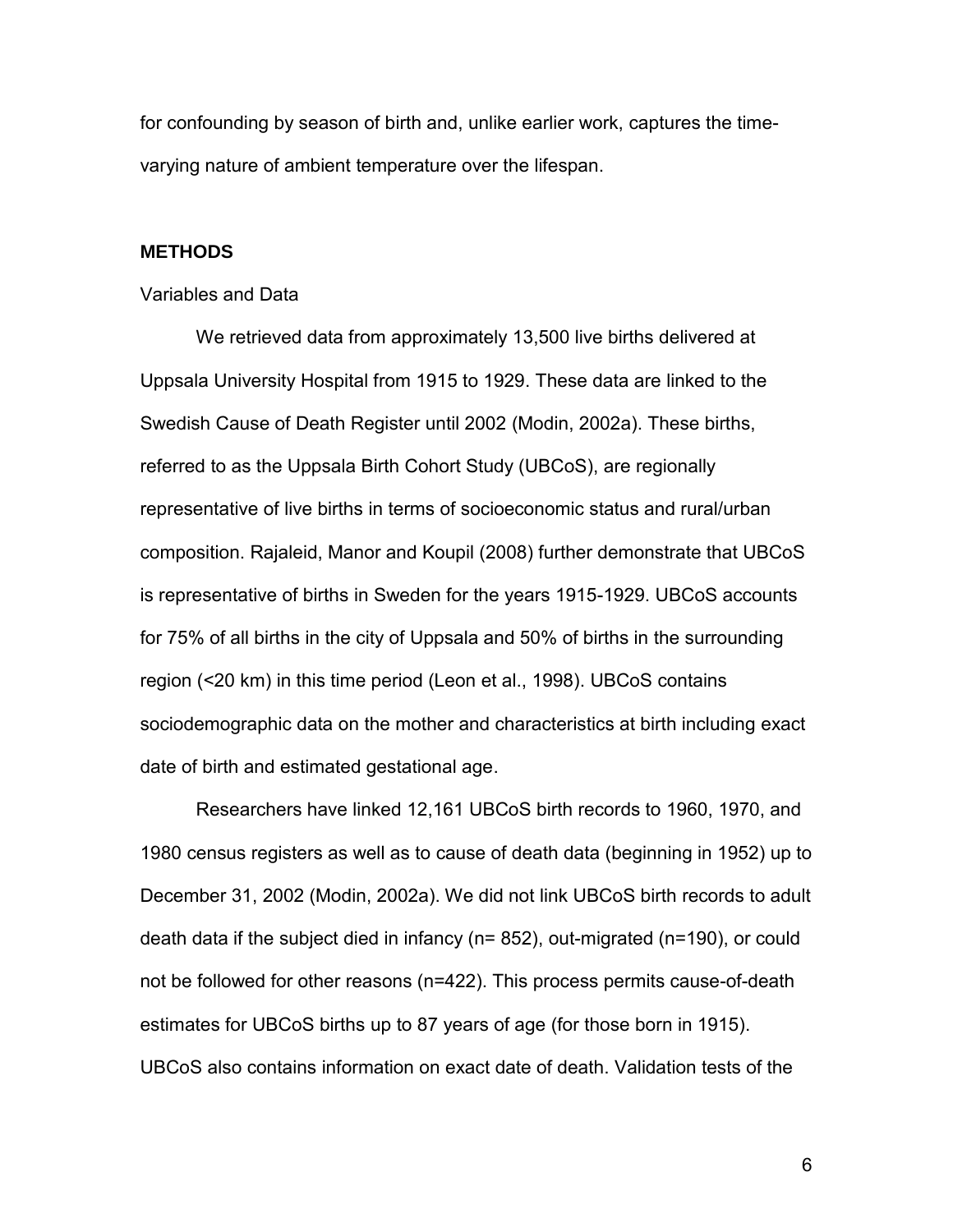for confounding by season of birth and, unlike earlier work, captures the timevarying nature of ambient temperature over the lifespan.

#### **METHODS**

#### Variables and Data

We retrieved data from approximately 13,500 live births delivered at Uppsala University Hospital from 1915 to 1929. These data are linked to the Swedish Cause of Death Register until 2002 (Modin, 2002a). These births, referred to as the Uppsala Birth Cohort Study (UBCoS), are regionally representative of live births in terms of socioeconomic status and rural/urban composition. Rajaleid, Manor and Koupil (2008) further demonstrate that UBCoS is representative of births in Sweden for the years 1915-1929. UBCoS accounts for 75% of all births in the city of Uppsala and 50% of births in the surrounding region (<20 km) in this time period (Leon et al., 1998). UBCoS contains sociodemographic data on the mother and characteristics at birth including exact date of birth and estimated gestational age.

Researchers have linked 12,161 UBCoS birth records to 1960, 1970, and 1980 census registers as well as to cause of death data (beginning in 1952) up to December 31, 2002 (Modin, 2002a). We did not link UBCoS birth records to adult death data if the subject died in infancy (n= 852), out-migrated (n=190), or could not be followed for other reasons (n=422). This process permits cause-of-death estimates for UBCoS births up to 87 years of age (for those born in 1915). UBCoS also contains information on exact date of death. Validation tests of the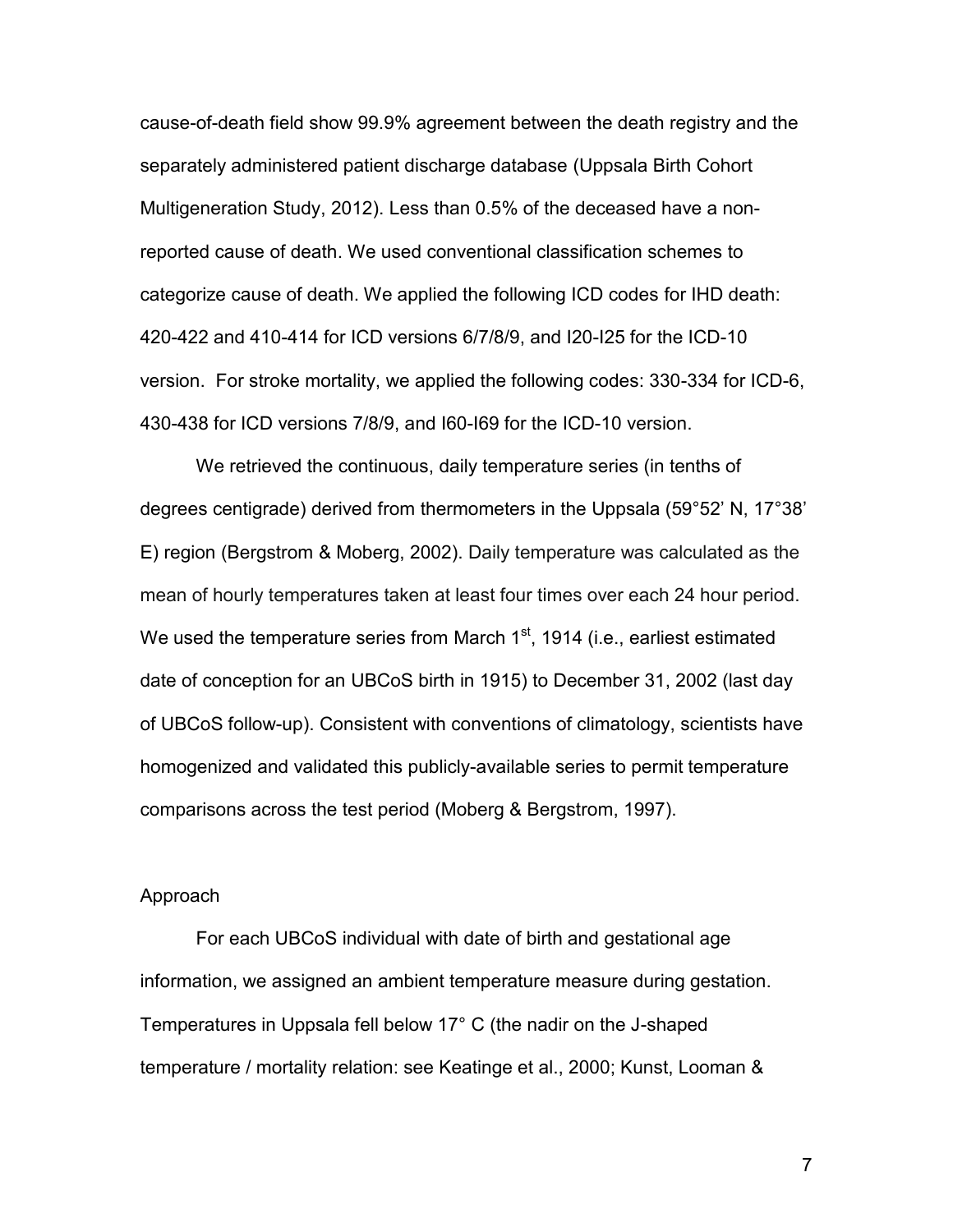cause-of-death field show 99.9% agreement between the death registry and the separately administered patient discharge database (Uppsala Birth Cohort Multigeneration Study, 2012). Less than 0.5% of the deceased have a nonreported cause of death. We used conventional classification schemes to categorize cause of death. We applied the following ICD codes for IHD death: 420-422 and 410-414 for ICD versions 6/7/8/9, and I20-I25 for the ICD-10 version. For stroke mortality, we applied the following codes: 330-334 for ICD-6, 430-438 for ICD versions 7/8/9, and I60-I69 for the ICD-10 version.

We retrieved the continuous, daily temperature series (in tenths of degrees centigrade) derived from thermometers in the Uppsala (59°52' N, 17°38' E) region (Bergstrom & Moberg, 2002). Daily temperature was calculated as the mean of hourly temperatures taken at least four times over each 24 hour period. We used the temperature series from March  $1<sup>st</sup>$ , 1914 (i.e., earliest estimated date of conception for an UBCoS birth in 1915) to December 31, 2002 (last day of UBCoS follow-up). Consistent with conventions of climatology, scientists have homogenized and validated this publicly-available series to permit temperature comparisons across the test period (Moberg & Bergstrom, 1997).

#### Approach

For each UBCoS individual with date of birth and gestational age information, we assigned an ambient temperature measure during gestation. Temperatures in Uppsala fell below 17° C (the nadir on the J-shaped temperature / mortality relation: see Keatinge et al., 2000; Kunst, Looman &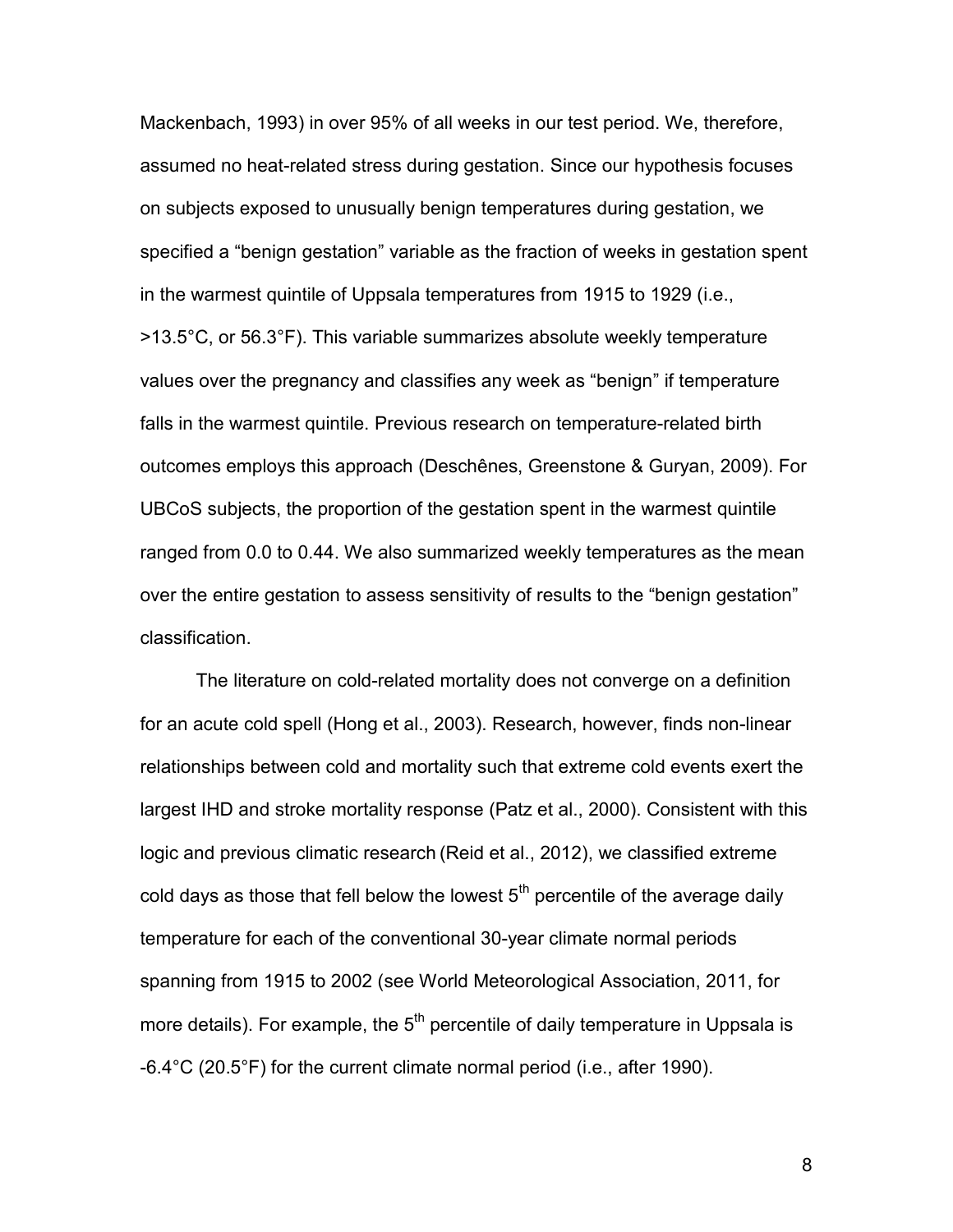Mackenbach, 1993) in over 95% of all weeks in our test period. We, therefore, assumed no heat-related stress during gestation. Since our hypothesis focuses on subjects exposed to unusually benign temperatures during gestation, we specified a "benign gestation" variable as the fraction of weeks in gestation spent in the warmest quintile of Uppsala temperatures from 1915 to 1929 (i.e., >13.5°C, or 56.3°F). This variable summarizes absolute weekly temperature values over the pregnancy and classifies any week as "benign" if temperature falls in the warmest quintile. Previous research on temperature-related birth outcomes employs this approach (Deschênes, Greenstone & Guryan, 2009). For UBCoS subjects, the proportion of the gestation spent in the warmest quintile ranged from 0.0 to 0.44. We also summarized weekly temperatures as the mean over the entire gestation to assess sensitivity of results to the "benign gestation" classification.

The literature on cold-related mortality does not converge on a definition for an acute cold spell (Hong et al., 2003). Research, however, finds non-linear relationships between cold and mortality such that extreme cold events exert the largest IHD and stroke mortality response (Patz et al., 2000). Consistent with this logic and previous climatic research (Reid et al., 2012), we classified extreme cold days as those that fell below the lowest  $5<sup>th</sup>$  percentile of the average daily temperature for each of the conventional 30-year climate normal periods spanning from 1915 to 2002 (see World Meteorological Association, 2011, for more details). For example, the  $5<sup>th</sup>$  percentile of daily temperature in Uppsala is -6.4°C (20.5°F) for the current climate normal period (i.e., after 1990).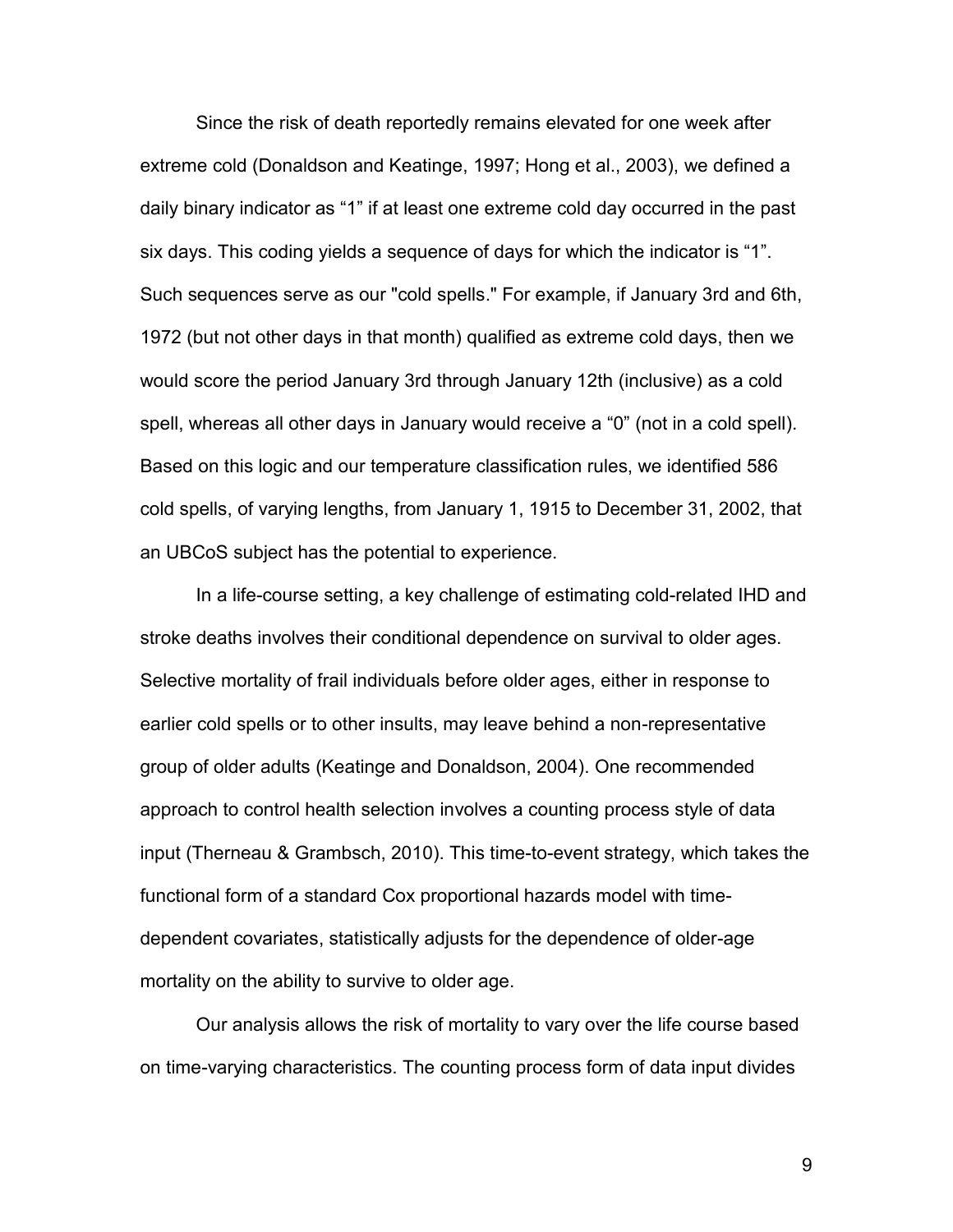Since the risk of death reportedly remains elevated for one week after extreme cold (Donaldson and Keatinge, 1997; Hong et al., 2003), we defined a daily binary indicator as "1" if at least one extreme cold day occurred in the past six days. This coding yields a sequence of days for which the indicator is "1". Such sequences serve as our "cold spells." For example, if January 3rd and 6th, 1972 (but not other days in that month) qualified as extreme cold days, then we would score the period January 3rd through January 12th (inclusive) as a cold spell, whereas all other days in January would receive a "0" (not in a cold spell). Based on this logic and our temperature classification rules, we identified 586 cold spells, of varying lengths, from January 1, 1915 to December 31, 2002, that an UBCoS subject has the potential to experience.

In a life-course setting, a key challenge of estimating cold-related IHD and stroke deaths involves their conditional dependence on survival to older ages. Selective mortality of frail individuals before older ages, either in response to earlier cold spells or to other insults, may leave behind a non-representative group of older adults (Keatinge and Donaldson, 2004). One recommended approach to control health selection involves a counting process style of data input (Therneau & Grambsch, 2010). This time-to-event strategy, which takes the functional form of a standard Cox proportional hazards model with timedependent covariates, statistically adjusts for the dependence of older-age mortality on the ability to survive to older age.

Our analysis allows the risk of mortality to vary over the life course based on time-varying characteristics. The counting process form of data input divides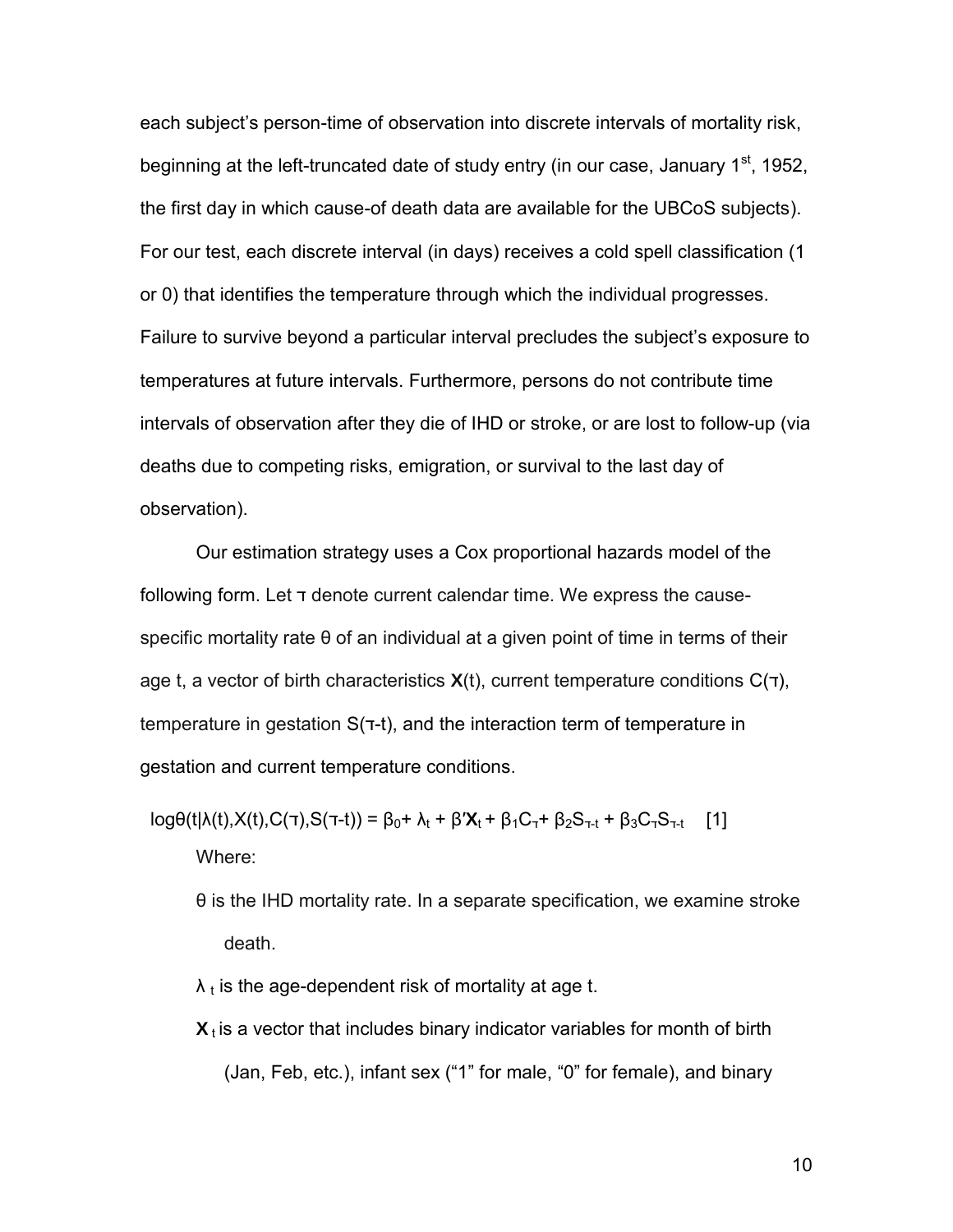each subject's person-time of observation into discrete intervals of mortality risk, beginning at the left-truncated date of study entry (in our case, January  $1<sup>st</sup>$ , 1952, the first day in which cause-of death data are available for the UBCoS subjects). For our test, each discrete interval (in days) receives a cold spell classification (1 or 0) that identifies the temperature through which the individual progresses. Failure to survive beyond a particular interval precludes the subject's exposure to temperatures at future intervals. Furthermore, persons do not contribute time intervals of observation after they die of IHD or stroke, or are lost to follow-up (via deaths due to competing risks, emigration, or survival to the last day of observation).

Our estimation strategy uses a Cox proportional hazards model of the following form. Let ד denote current calendar time. We express the causespecific mortality rate θ of an individual at a given point of time in terms of their age t, a vector of birth characteristics  $X(t)$ , current temperature conditions  $C(\tau)$ , temperature in gestation S(ד-t), and the interaction term of temperature in gestation and current temperature conditions.

 $log\theta(t|\lambda(t),X(t),C(\tau),S(\tau-t)) = \beta_0 + \lambda_t + \beta' \mathbf{X}_t + \beta_1 C_{\tau} + \beta_2 S_{\tau-t} + \beta_3 C_{\tau} S_{\tau-t}$  [1] Where:

θ is the IHD mortality rate. In a separate specification, we examine stroke death.

 $\lambda$  t is the age-dependent risk of mortality at age t.

 $\mathbf{X}_t$  is a vector that includes binary indicator variables for month of birth (Jan, Feb, etc.), infant sex ("1" for male, "0" for female), and binary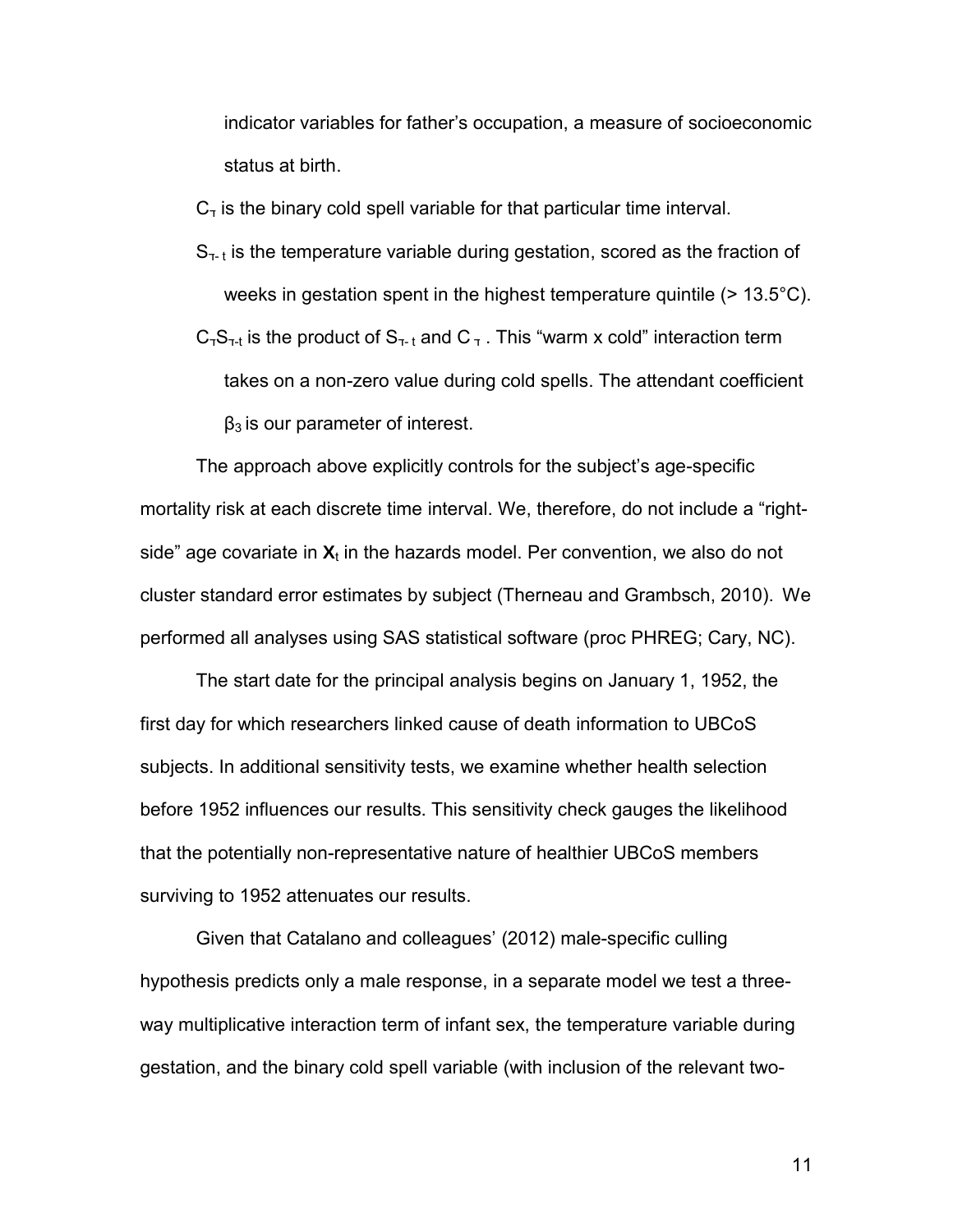indicator variables for father's occupation, a measure of socioeconomic status at birth.

 $C<sub>T</sub>$  is the binary cold spell variable for that particular time interval.

 $S_{\tau-t}$  is the temperature variable during gestation, scored as the fraction of weeks in gestation spent in the highest temperature quintile (> 13.5°C).  $C_7S_{7-t}$  is the product of  $S_{7-t}$  and  $C_7$  . This "warm x cold" interaction term takes on a non-zero value during cold spells. The attendant coefficient  $β<sub>3</sub>$  is our parameter of interest.

The approach above explicitly controls for the subject's age-specific mortality risk at each discrete time interval. We, therefore, do not include a "rightside" age covariate in  $X_t$  in the hazards model. Per convention, we also do not cluster standard error estimates by subject (Therneau and Grambsch, 2010). We performed all analyses using SAS statistical software (proc PHREG; Cary, NC).

The start date for the principal analysis begins on January 1, 1952, the first day for which researchers linked cause of death information to UBCoS subjects. In additional sensitivity tests, we examine whether health selection before 1952 influences our results. This sensitivity check gauges the likelihood that the potentially non-representative nature of healthier UBCoS members surviving to 1952 attenuates our results.

Given that Catalano and colleagues' (2012) male-specific culling hypothesis predicts only a male response, in a separate model we test a threeway multiplicative interaction term of infant sex, the temperature variable during gestation, and the binary cold spell variable (with inclusion of the relevant two-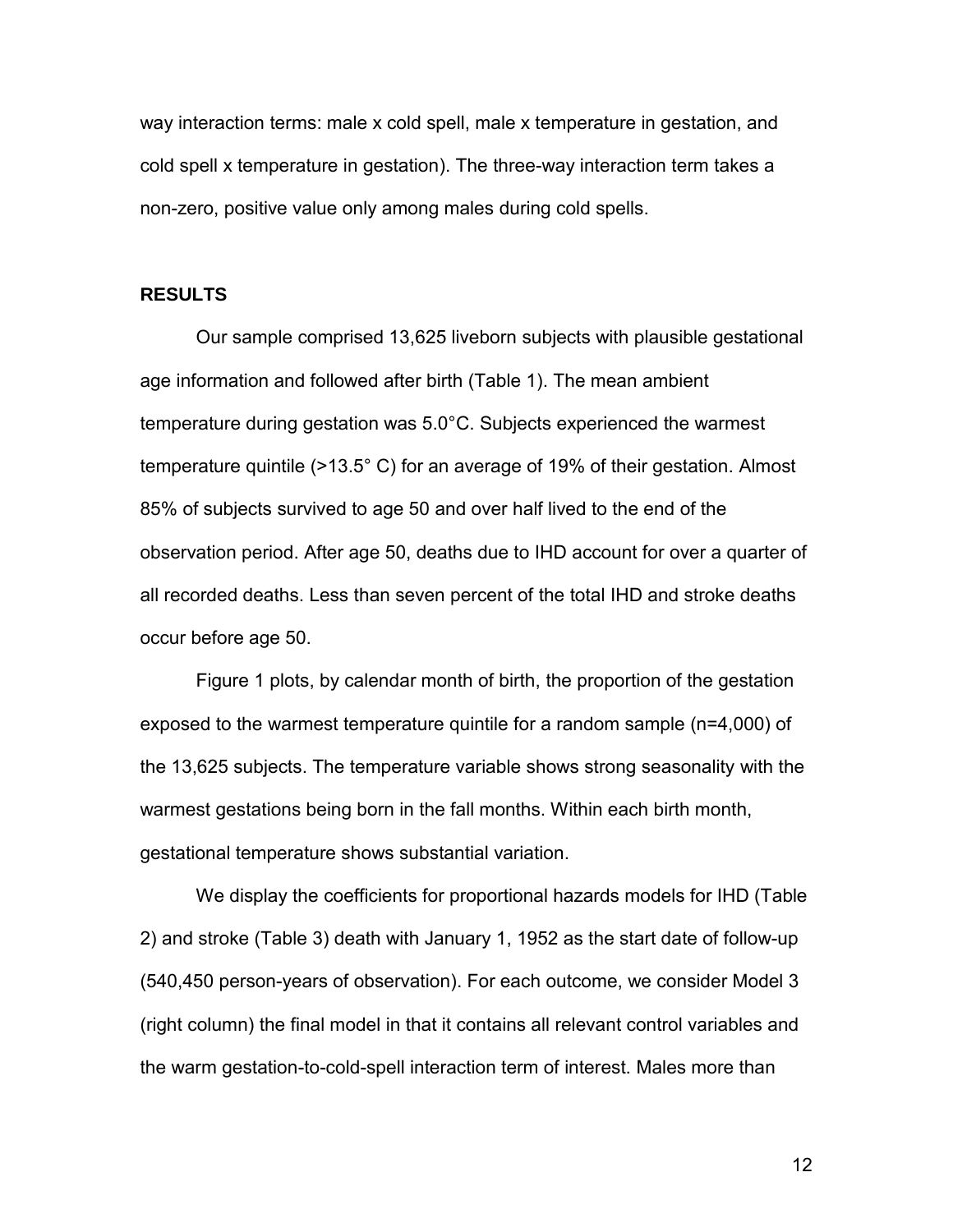way interaction terms: male x cold spell, male x temperature in gestation, and cold spell x temperature in gestation). The three-way interaction term takes a non-zero, positive value only among males during cold spells.

#### **RESULTS**

Our sample comprised 13,625 liveborn subjects with plausible gestational age information and followed after birth (Table 1). The mean ambient temperature during gestation was 5.0°C. Subjects experienced the warmest temperature quintile (>13.5° C) for an average of 19% of their gestation. Almost 85% of subjects survived to age 50 and over half lived to the end of the observation period. After age 50, deaths due to IHD account for over a quarter of all recorded deaths. Less than seven percent of the total IHD and stroke deaths occur before age 50.

Figure 1 plots, by calendar month of birth, the proportion of the gestation exposed to the warmest temperature quintile for a random sample (n=4,000) of the 13,625 subjects. The temperature variable shows strong seasonality with the warmest gestations being born in the fall months. Within each birth month, gestational temperature shows substantial variation.

We display the coefficients for proportional hazards models for IHD (Table 2) and stroke (Table 3) death with January 1, 1952 as the start date of follow-up (540,450 person-years of observation). For each outcome, we consider Model 3 (right column) the final model in that it contains all relevant control variables and the warm gestation-to-cold-spell interaction term of interest. Males more than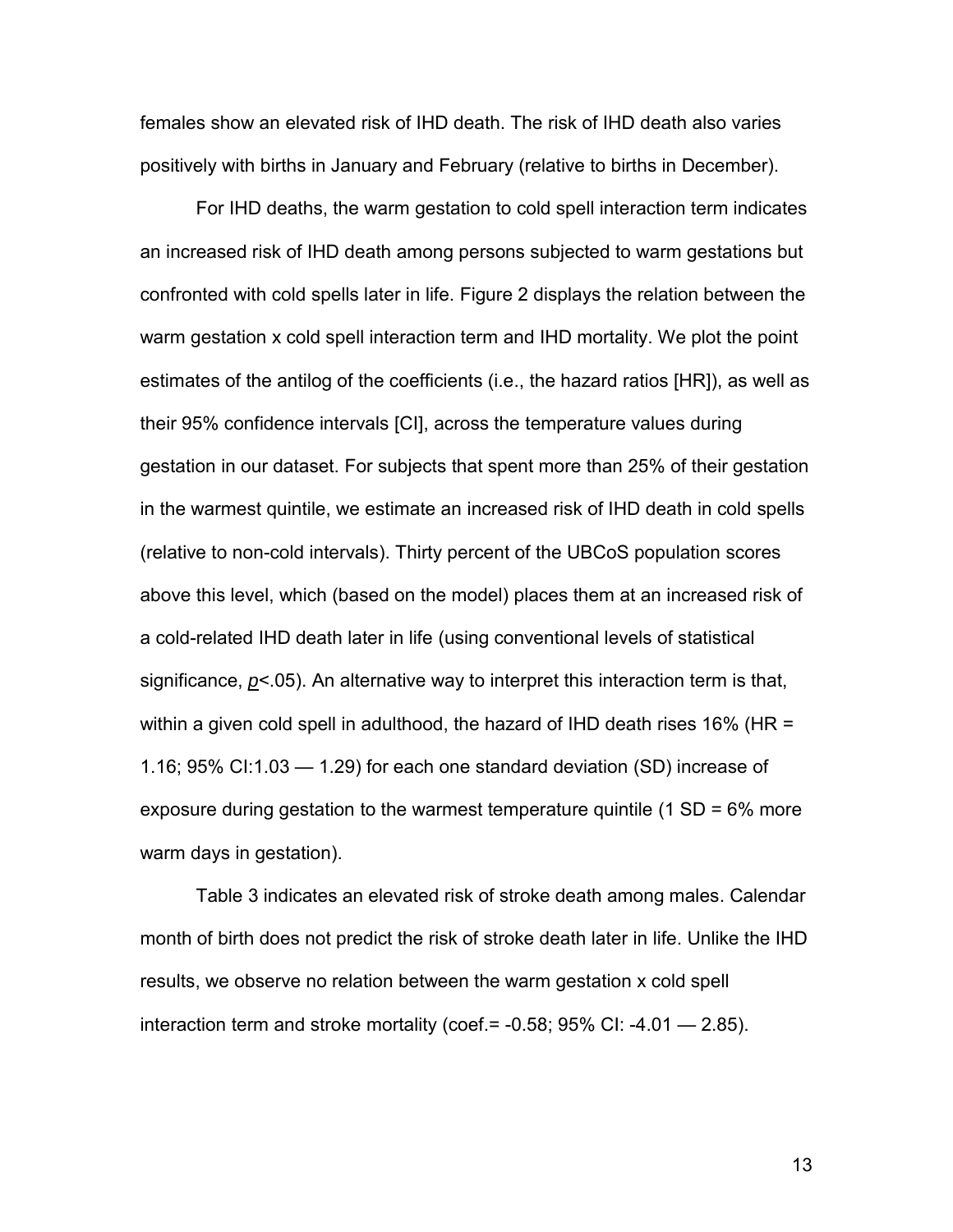females show an elevated risk of IHD death. The risk of IHD death also varies positively with births in January and February (relative to births in December).

For IHD deaths, the warm gestation to cold spell interaction term indicates an increased risk of IHD death among persons subjected to warm gestations but confronted with cold spells later in life. Figure 2 displays the relation between the warm gestation x cold spell interaction term and IHD mortality. We plot the point estimates of the antilog of the coefficients (i.e., the hazard ratios [HR]), as well as their 95% confidence intervals [CI], across the temperature values during gestation in our dataset. For subjects that spent more than 25% of their gestation in the warmest quintile, we estimate an increased risk of IHD death in cold spells (relative to non-cold intervals). Thirty percent of the UBCoS population scores above this level, which (based on the model) places them at an increased risk of a cold-related IHD death later in life (using conventional levels of statistical significance, *p*<.05). An alternative way to interpret this interaction term is that, within a given cold spell in adulthood, the hazard of IHD death rises 16% (HR = 1.16; 95% CI:1.03 — 1.29) for each one standard deviation (SD) increase of exposure during gestation to the warmest temperature quintile (1 SD = 6% more warm days in gestation).

Table 3 indicates an elevated risk of stroke death among males. Calendar month of birth does not predict the risk of stroke death later in life. Unlike the IHD results, we observe no relation between the warm gestation x cold spell interaction term and stroke mortality (coef.= -0.58; 95% CI: -4.01 — 2.85).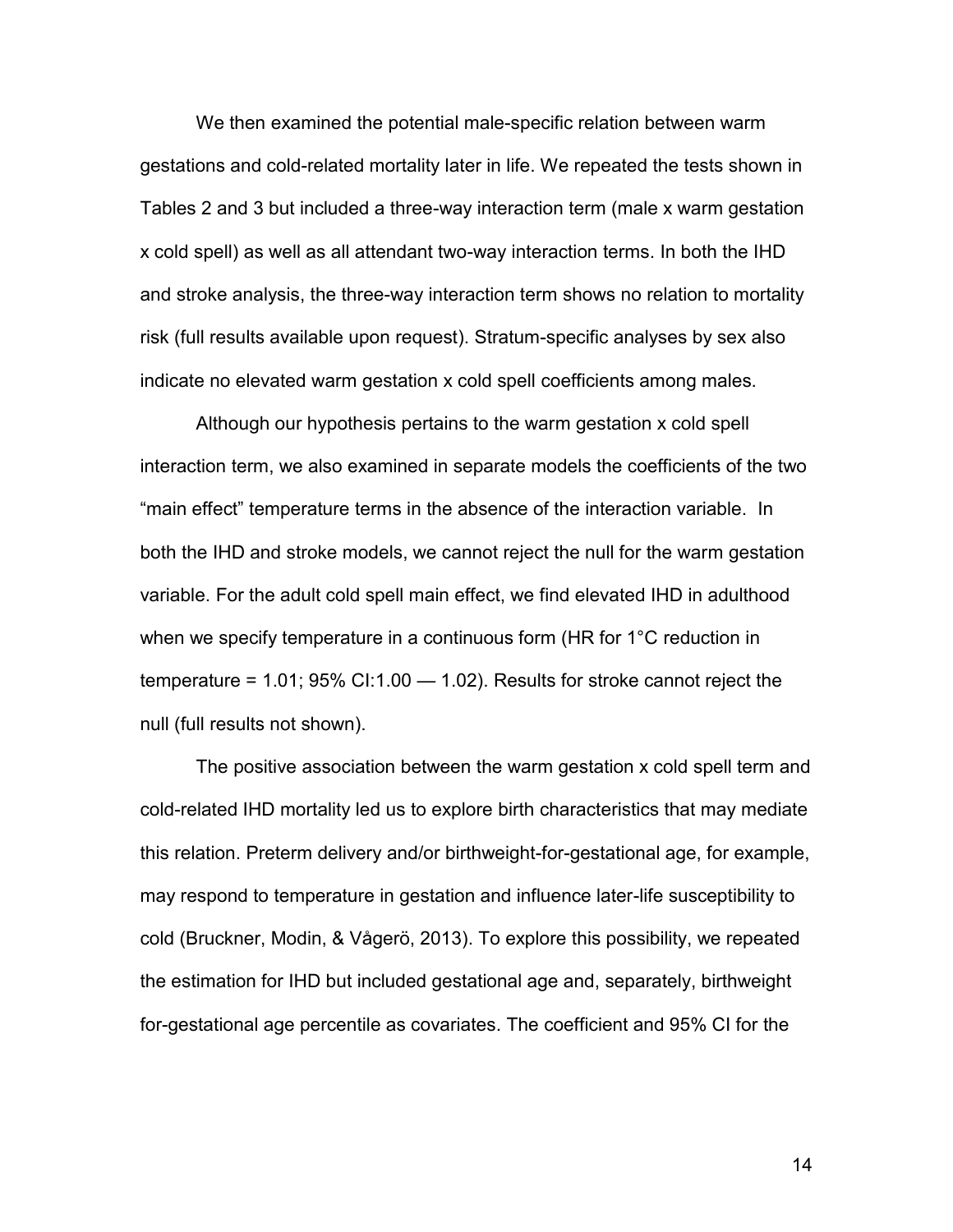We then examined the potential male-specific relation between warm gestations and cold-related mortality later in life. We repeated the tests shown in Tables 2 and 3 but included a three-way interaction term (male x warm gestation x cold spell) as well as all attendant two-way interaction terms. In both the IHD and stroke analysis, the three-way interaction term shows no relation to mortality risk (full results available upon request). Stratum-specific analyses by sex also indicate no elevated warm gestation x cold spell coefficients among males.

Although our hypothesis pertains to the warm gestation x cold spell interaction term, we also examined in separate models the coefficients of the two "main effect" temperature terms in the absence of the interaction variable. In both the IHD and stroke models, we cannot reject the null for the warm gestation variable. For the adult cold spell main effect, we find elevated IHD in adulthood when we specify temperature in a continuous form (HR for 1°C reduction in temperature = 1.01; 95% CI:1.00 — 1.02). Results for stroke cannot reject the null (full results not shown).

The positive association between the warm gestation x cold spell term and cold-related IHD mortality led us to explore birth characteristics that may mediate this relation. Preterm delivery and/or birthweight-for-gestational age, for example, may respond to temperature in gestation and influence later-life susceptibility to cold (Bruckner, Modin, & Vågerö, 2013). To explore this possibility, we repeated the estimation for IHD but included gestational age and, separately, birthweight for-gestational age percentile as covariates. The coefficient and 95% CI for the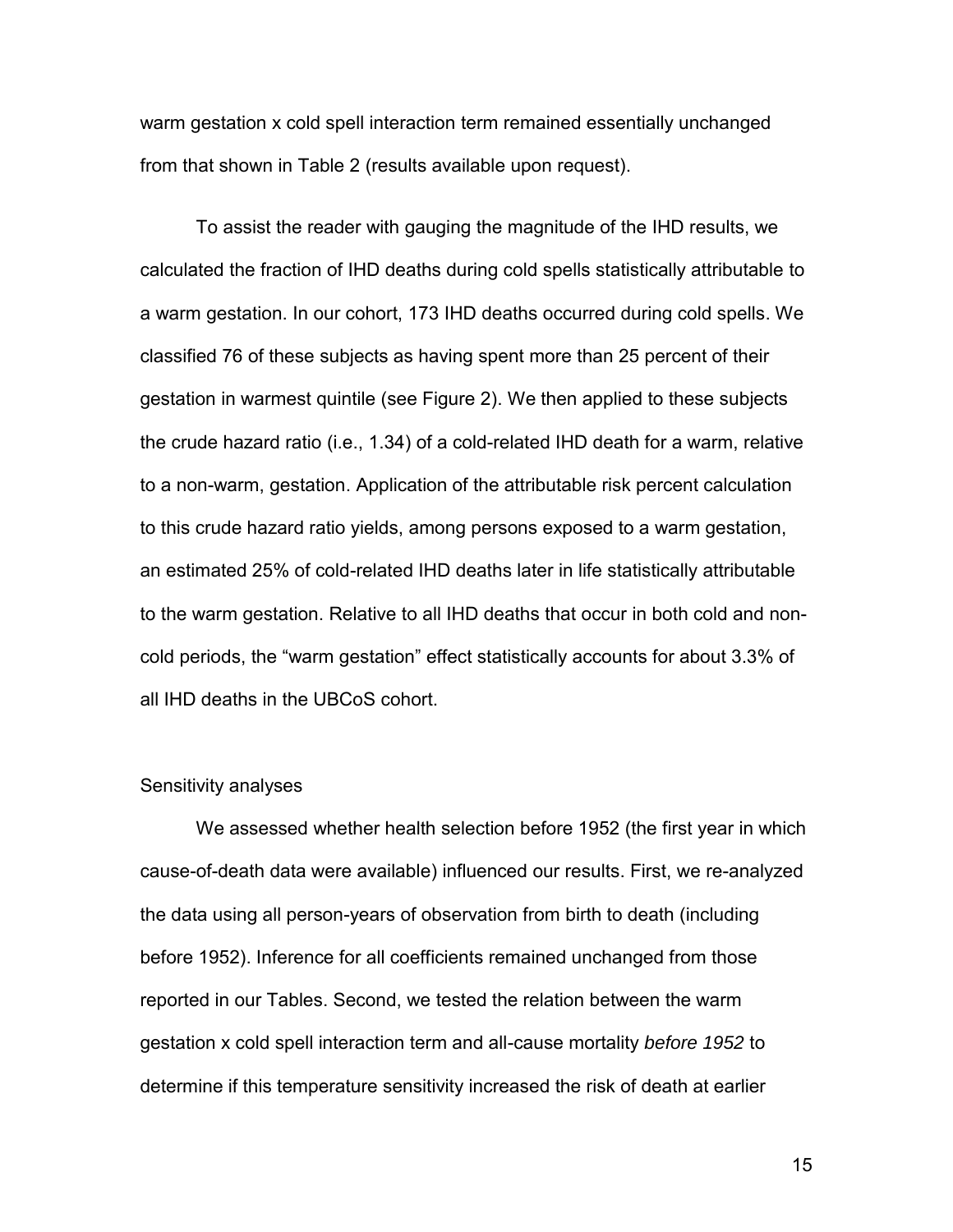warm gestation x cold spell interaction term remained essentially unchanged from that shown in Table 2 (results available upon request).

To assist the reader with gauging the magnitude of the IHD results, we calculated the fraction of IHD deaths during cold spells statistically attributable to a warm gestation. In our cohort, 173 IHD deaths occurred during cold spells. We classified 76 of these subjects as having spent more than 25 percent of their gestation in warmest quintile (see Figure 2). We then applied to these subjects the crude hazard ratio (i.e., 1.34) of a cold-related IHD death for a warm, relative to a non-warm, gestation. Application of the attributable risk percent calculation to this crude hazard ratio yields, among persons exposed to a warm gestation, an estimated 25% of cold-related IHD deaths later in life statistically attributable to the warm gestation. Relative to all IHD deaths that occur in both cold and noncold periods, the "warm gestation" effect statistically accounts for about 3.3% of all IHD deaths in the UBCoS cohort.

#### Sensitivity analyses

We assessed whether health selection before 1952 (the first year in which cause-of-death data were available) influenced our results. First, we re-analyzed the data using all person-years of observation from birth to death (including before 1952). Inference for all coefficients remained unchanged from those reported in our Tables. Second, we tested the relation between the warm gestation x cold spell interaction term and all-cause mortality *before 1952* to determine if this temperature sensitivity increased the risk of death at earlier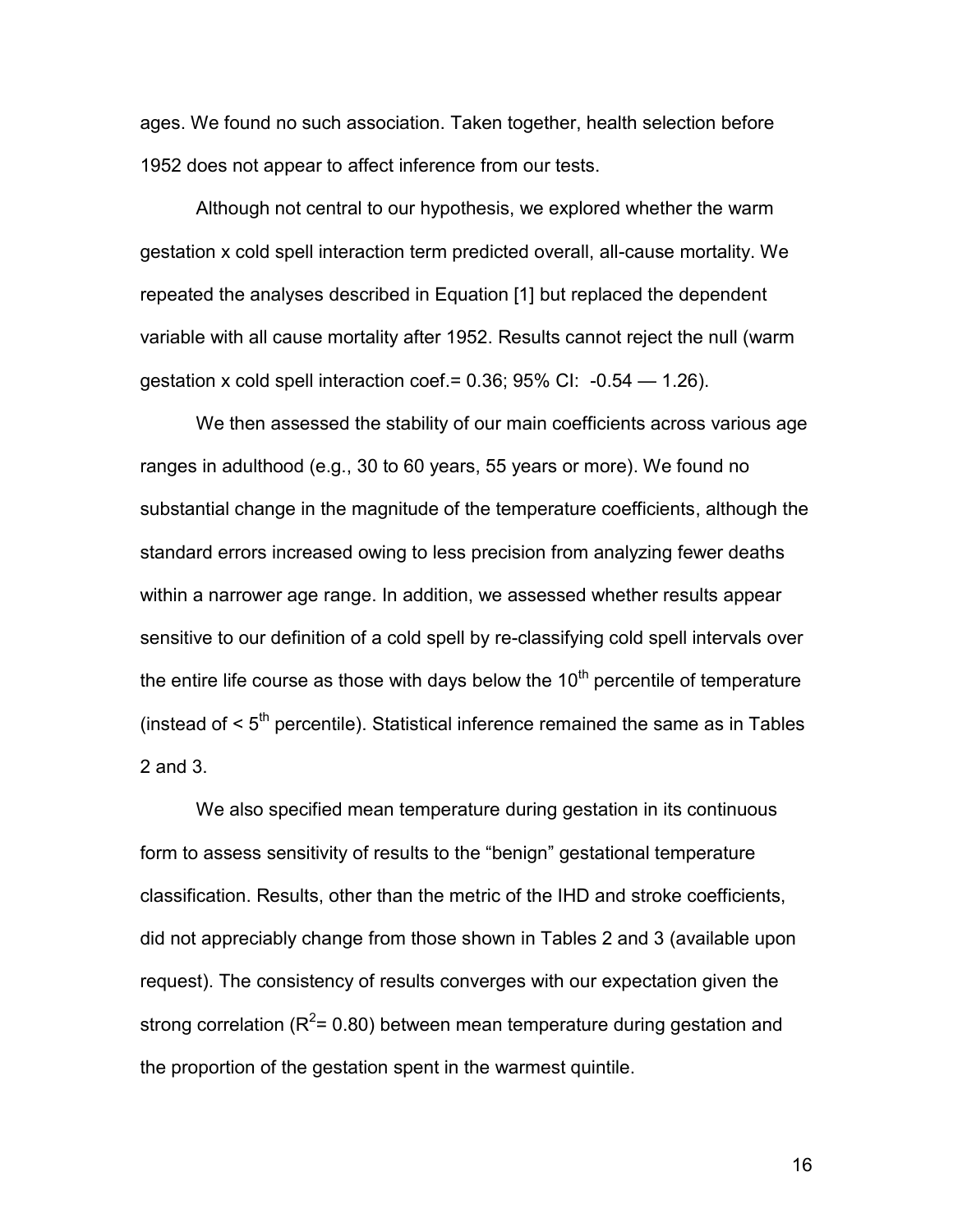ages. We found no such association. Taken together, health selection before 1952 does not appear to affect inference from our tests.

Although not central to our hypothesis, we explored whether the warm gestation x cold spell interaction term predicted overall, all-cause mortality. We repeated the analyses described in Equation [1] but replaced the dependent variable with all cause mortality after 1952. Results cannot reject the null (warm gestation x cold spell interaction coef. =  $0.36$ ;  $95\%$  CI:  $-0.54 - 1.26$ ).

We then assessed the stability of our main coefficients across various age ranges in adulthood (e.g., 30 to 60 years, 55 years or more). We found no substantial change in the magnitude of the temperature coefficients, although the standard errors increased owing to less precision from analyzing fewer deaths within a narrower age range. In addition, we assessed whether results appear sensitive to our definition of a cold spell by re-classifying cold spell intervals over the entire life course as those with days below the  $10<sup>th</sup>$  percentile of temperature (instead of  $\leq 5^{\text{th}}$  percentile). Statistical inference remained the same as in Tables 2 and 3.

We also specified mean temperature during gestation in its continuous form to assess sensitivity of results to the "benign" gestational temperature classification. Results, other than the metric of the IHD and stroke coefficients, did not appreciably change from those shown in Tables 2 and 3 (available upon request). The consistency of results converges with our expectation given the strong correlation ( $R^2$ = 0.80) between mean temperature during gestation and the proportion of the gestation spent in the warmest quintile.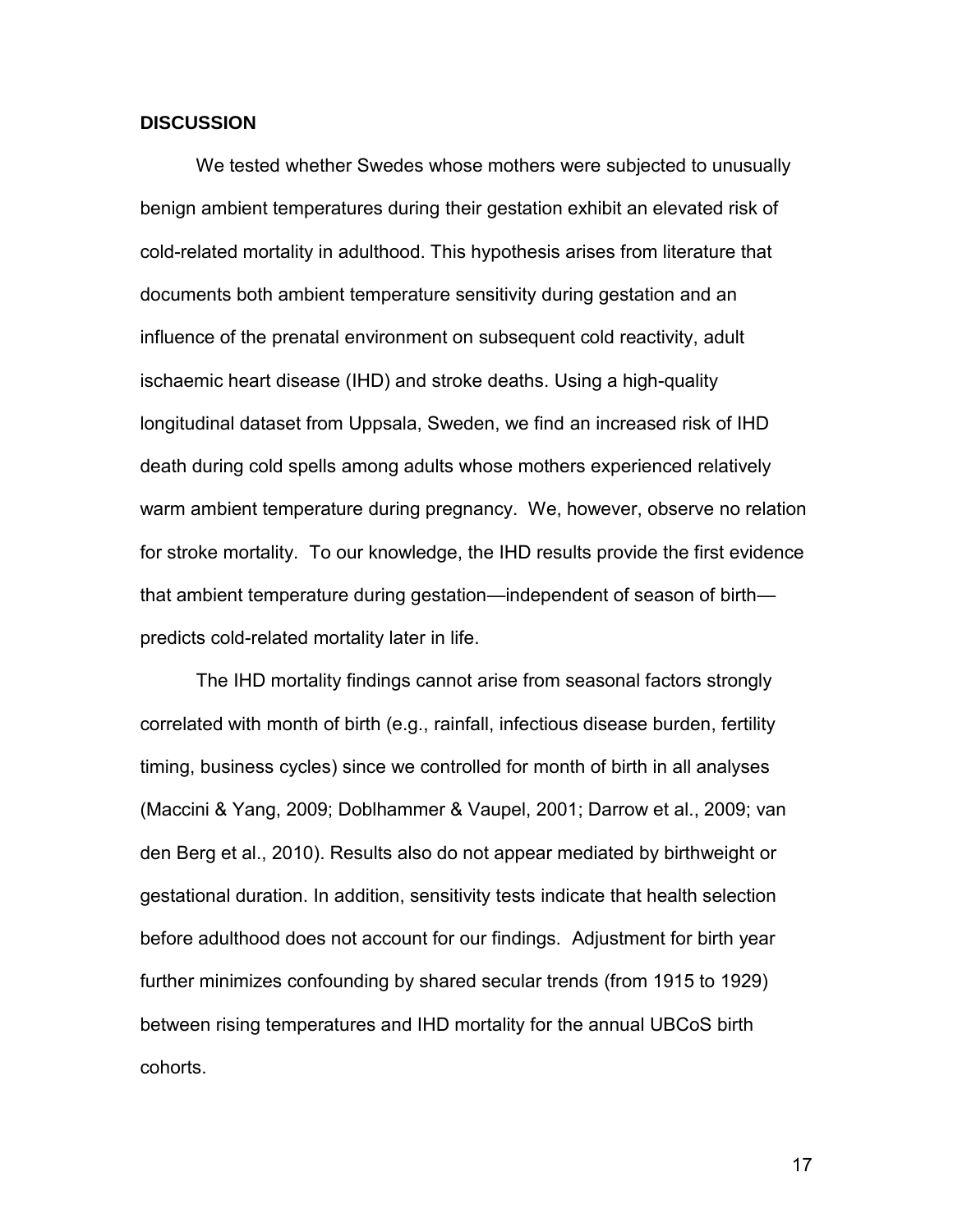#### **DISCUSSION**

We tested whether Swedes whose mothers were subjected to unusually benign ambient temperatures during their gestation exhibit an elevated risk of cold-related mortality in adulthood. This hypothesis arises from literature that documents both ambient temperature sensitivity during gestation and an influence of the prenatal environment on subsequent cold reactivity, adult ischaemic heart disease (IHD) and stroke deaths. Using a high-quality longitudinal dataset from Uppsala, Sweden, we find an increased risk of IHD death during cold spells among adults whose mothers experienced relatively warm ambient temperature during pregnancy. We, however, observe no relation for stroke mortality. To our knowledge, the IHD results provide the first evidence that ambient temperature during gestation—independent of season of birth predicts cold-related mortality later in life.

The IHD mortality findings cannot arise from seasonal factors strongly correlated with month of birth (e.g., rainfall, infectious disease burden, fertility timing, business cycles) since we controlled for month of birth in all analyses (Maccini & Yang, 2009; Doblhammer & Vaupel, 2001; Darrow et al., 2009; van den Berg et al., 2010). Results also do not appear mediated by birthweight or gestational duration. In addition, sensitivity tests indicate that health selection before adulthood does not account for our findings. Adjustment for birth year further minimizes confounding by shared secular trends (from 1915 to 1929) between rising temperatures and IHD mortality for the annual UBCoS birth cohorts.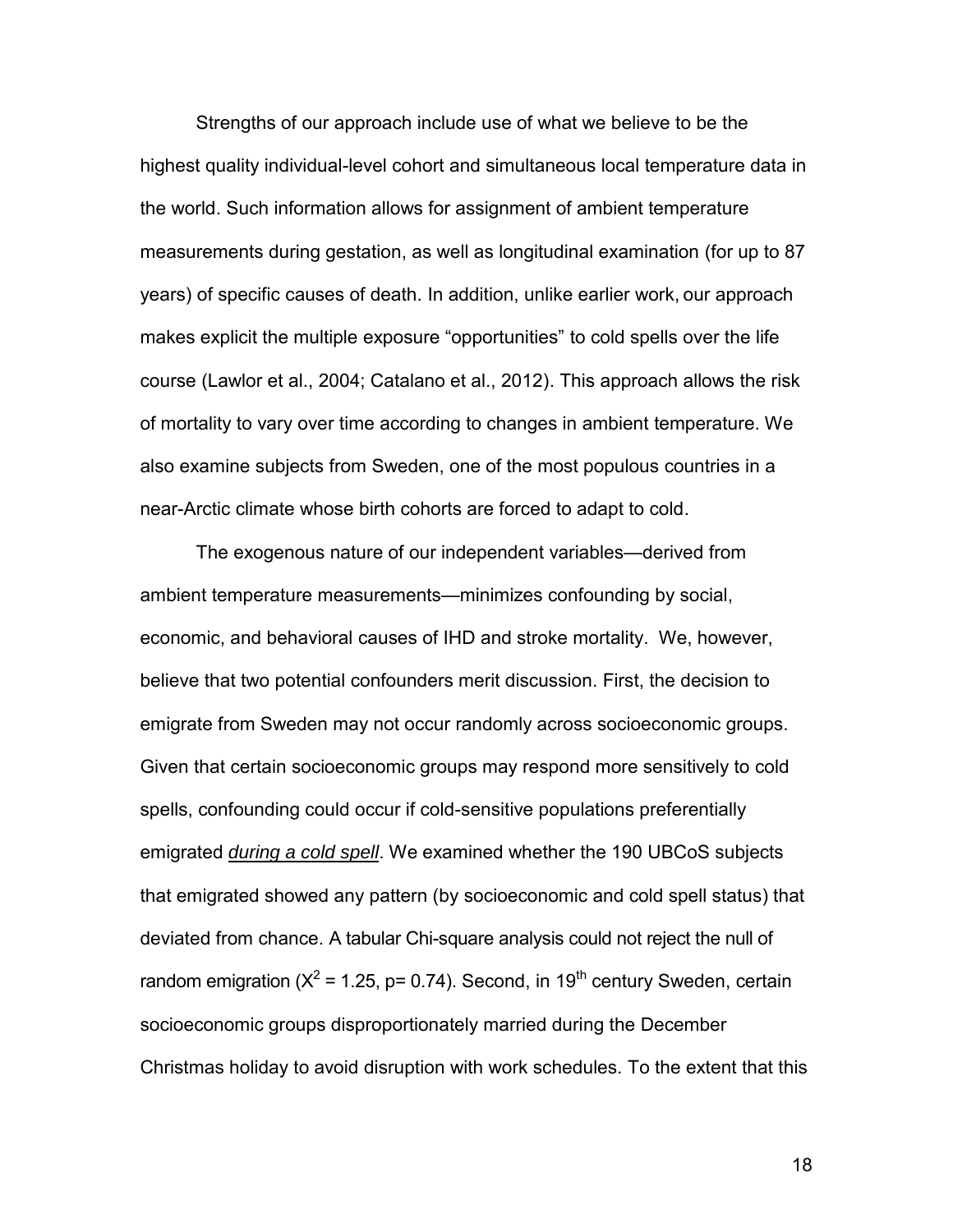Strengths of our approach include use of what we believe to be the highest quality individual-level cohort and simultaneous local temperature data in the world. Such information allows for assignment of ambient temperature measurements during gestation, as well as longitudinal examination (for up to 87 years) of specific causes of death. In addition, unlike earlier work, our approach makes explicit the multiple exposure "opportunities" to cold spells over the life course (Lawlor et al., 2004; Catalano et al., 2012). This approach allows the risk of mortality to vary over time according to changes in ambient temperature. We also examine subjects from Sweden, one of the most populous countries in a near-Arctic climate whose birth cohorts are forced to adapt to cold.

The exogenous nature of our independent variables—derived from ambient temperature measurements—minimizes confounding by social, economic, and behavioral causes of IHD and stroke mortality. We, however, believe that two potential confounders merit discussion. First, the decision to emigrate from Sweden may not occur randomly across socioeconomic groups. Given that certain socioeconomic groups may respond more sensitively to cold spells, confounding could occur if cold-sensitive populations preferentially emigrated *during a cold spell*. We examined whether the 190 UBCoS subjects that emigrated showed any pattern (by socioeconomic and cold spell status) that deviated from chance. A tabular Chi-square analysis could not reject the null of random emigration ( $X^2$  = 1.25, p= 0.74). Second, in 19<sup>th</sup> century Sweden, certain socioeconomic groups disproportionately married during the December Christmas holiday to avoid disruption with work schedules. To the extent that this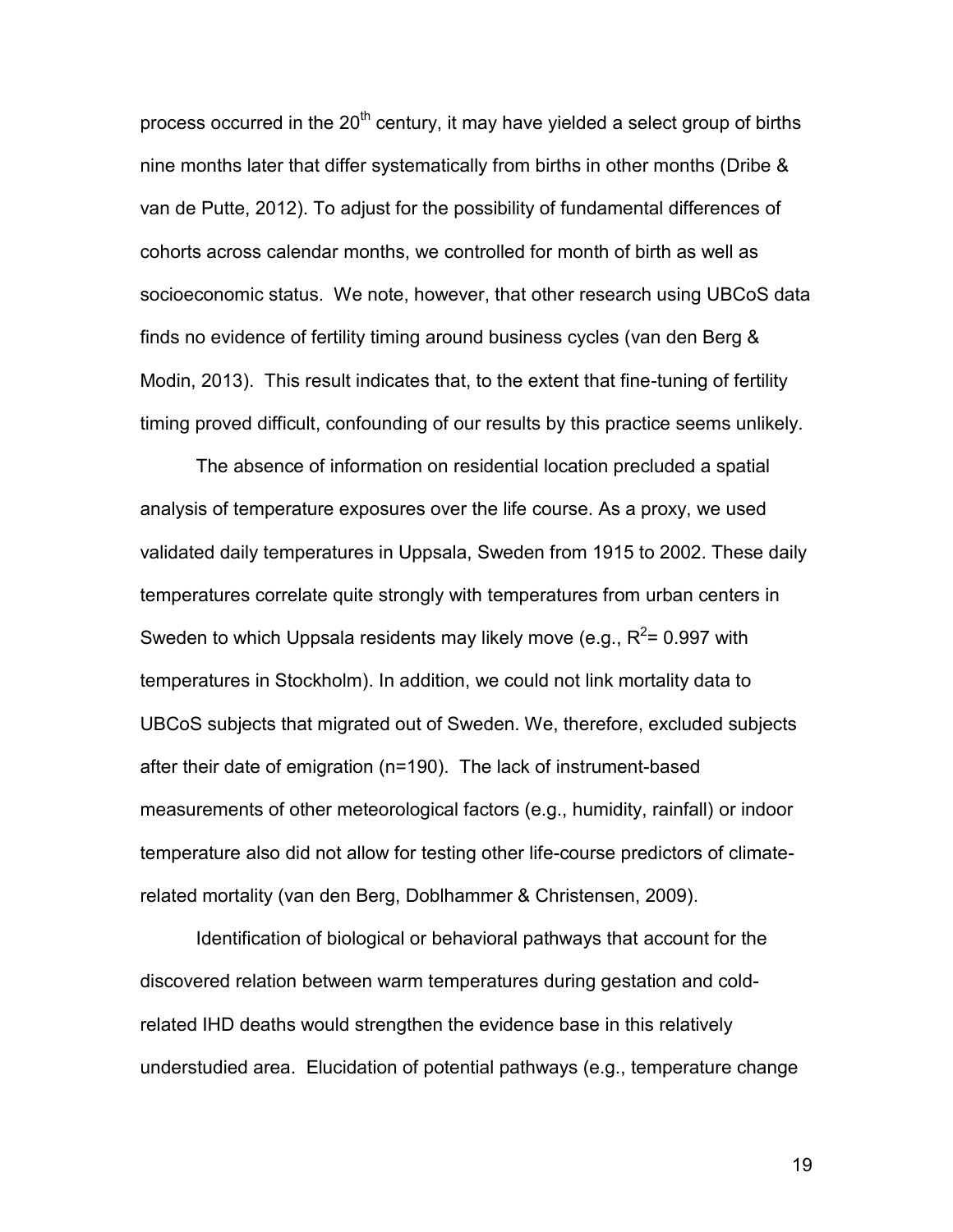process occurred in the  $20<sup>th</sup>$  century, it may have yielded a select group of births nine months later that differ systematically from births in other months (Dribe & van de Putte, 2012). To adjust for the possibility of fundamental differences of cohorts across calendar months, we controlled for month of birth as well as socioeconomic status. We note, however, that other research using UBCoS data finds no evidence of fertility timing around business cycles (van den Berg & Modin, 2013). This result indicates that, to the extent that fine-tuning of fertility timing proved difficult, confounding of our results by this practice seems unlikely.

The absence of information on residential location precluded a spatial analysis of temperature exposures over the life course. As a proxy, we used validated daily temperatures in Uppsala, Sweden from 1915 to 2002. These daily temperatures correlate quite strongly with temperatures from urban centers in Sweden to which Uppsala residents may likely move (e.g.,  $R^2$ = 0.997 with temperatures in Stockholm). In addition, we could not link mortality data to UBCoS subjects that migrated out of Sweden. We, therefore, excluded subjects after their date of emigration (n=190). The lack of instrument-based measurements of other meteorological factors (e.g., humidity, rainfall) or indoor temperature also did not allow for testing other life-course predictors of climaterelated mortality (van den Berg, Doblhammer & Christensen, 2009).

Identification of biological or behavioral pathways that account for the discovered relation between warm temperatures during gestation and coldrelated IHD deaths would strengthen the evidence base in this relatively understudied area. Elucidation of potential pathways (e.g., temperature change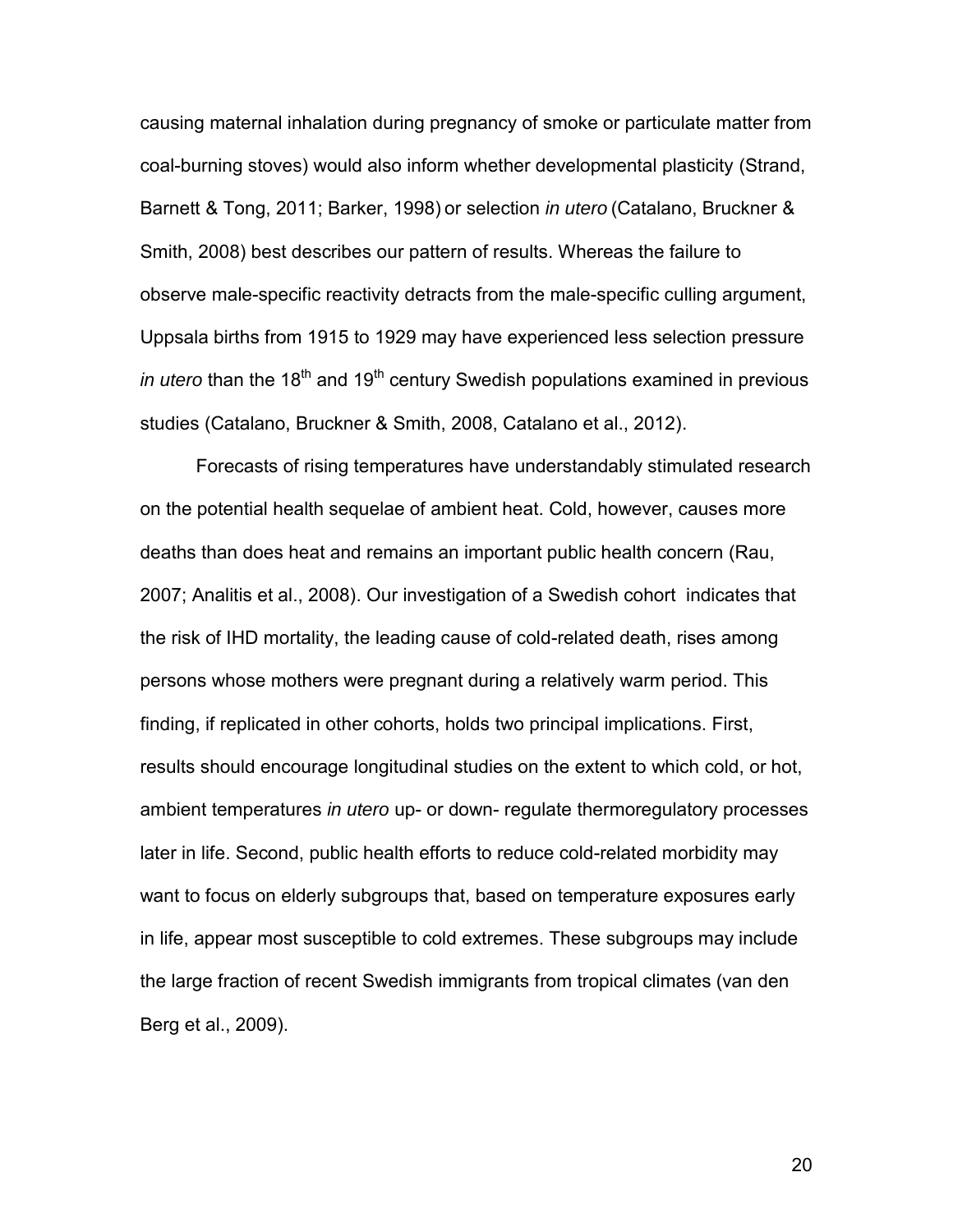causing maternal inhalation during pregnancy of smoke or particulate matter from coal-burning stoves) would also inform whether developmental plasticity (Strand, Barnett & Tong, 2011; Barker, 1998) or selection *in utero* (Catalano, Bruckner & Smith, 2008) best describes our pattern of results. Whereas the failure to observe male-specific reactivity detracts from the male-specific culling argument, Uppsala births from 1915 to 1929 may have experienced less selection pressure *in utero* than the 18<sup>th</sup> and 19<sup>th</sup> century Swedish populations examined in previous studies (Catalano, Bruckner & Smith, 2008, Catalano et al., 2012).

Forecasts of rising temperatures have understandably stimulated research on the potential health sequelae of ambient heat. Cold, however, causes more deaths than does heat and remains an important public health concern (Rau, 2007; Analitis et al., 2008). Our investigation of a Swedish cohort indicates that the risk of IHD mortality, the leading cause of cold-related death, rises among persons whose mothers were pregnant during a relatively warm period. This finding, if replicated in other cohorts, holds two principal implications. First, results should encourage longitudinal studies on the extent to which cold, or hot, ambient temperatures *in utero* up- or down- regulate thermoregulatory processes later in life. Second, public health efforts to reduce cold-related morbidity may want to focus on elderly subgroups that, based on temperature exposures early in life, appear most susceptible to cold extremes. These subgroups may include the large fraction of recent Swedish immigrants from tropical climates (van den Berg et al., 2009).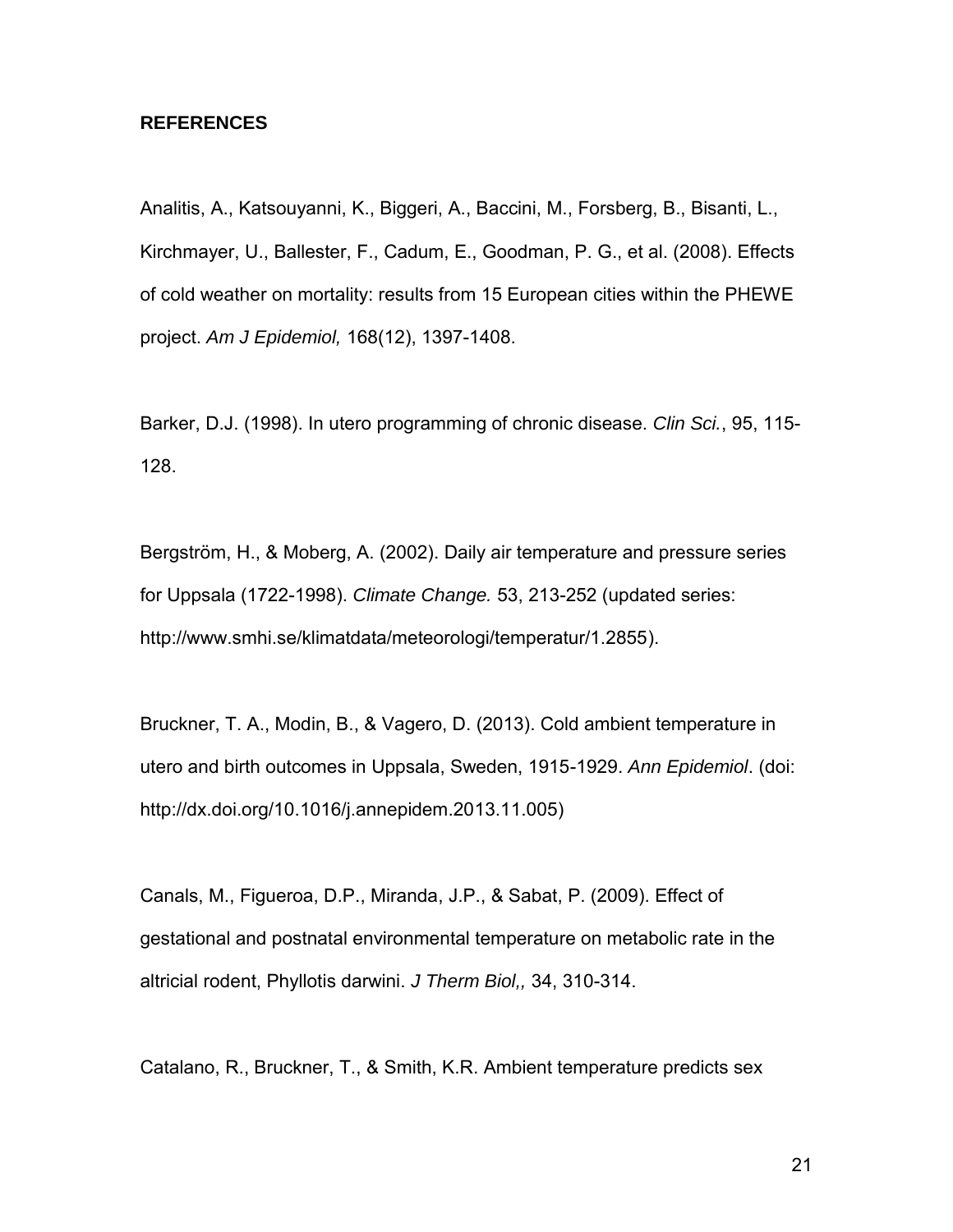#### **REFERENCES**

Analitis, A., Katsouyanni, K., Biggeri, A., Baccini, M., Forsberg, B., Bisanti, L., Kirchmayer, U., Ballester, F., Cadum, E., Goodman, P. G., et al. (2008). Effects of cold weather on mortality: results from 15 European cities within the PHEWE project. *Am J Epidemiol,* 168(12), 1397-1408.

Barker, D.J. (1998). In utero programming of chronic disease. *Clin Sci.*, 95, 115- 128.

Bergström, H., & Moberg, A. (2002). Daily air temperature and pressure series for Uppsala (1722-1998). *Climate Change.* 53, 213-252 (updated series: http://www.smhi.se/klimatdata/meteorologi/temperatur/1.2855).

Bruckner, T. A., Modin, B., & Vagero, D. (2013). Cold ambient temperature in utero and birth outcomes in Uppsala, Sweden, 1915-1929. *Ann Epidemiol*. (doi: http://dx.doi.org/10.1016/j.annepidem.2013.11.005)

Canals, M., Figueroa, D.P., Miranda, J.P., & Sabat, P. (2009). Effect of gestational and postnatal environmental temperature on metabolic rate in the altricial rodent, Phyllotis darwini. *J Therm Biol,,* 34, 310-314.

Catalano, R., Bruckner, T., & Smith, K.R. Ambient temperature predicts sex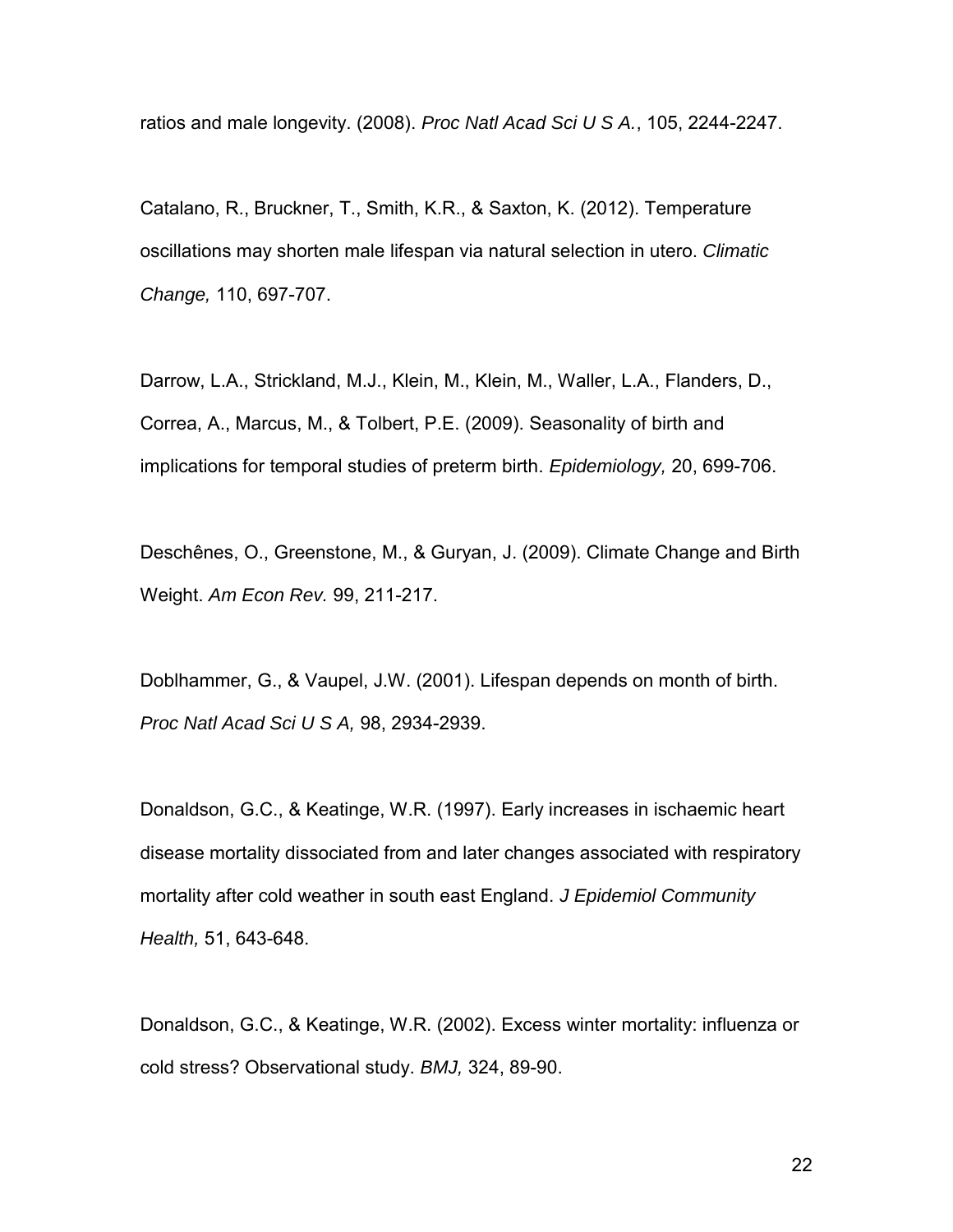ratios and male longevity. (2008). *Proc Natl Acad Sci U S A.*, 105, 2244-2247.

Catalano, R., Bruckner, T., Smith, K.R., & Saxton, K. (2012). Temperature oscillations may shorten male lifespan via natural selection in utero. *Climatic Change,* 110, 697-707.

Darrow, L.A., Strickland, M.J., Klein, M., Klein, M., Waller, L.A., Flanders, D., Correa, A., Marcus, M., & Tolbert, P.E. (2009). Seasonality of birth and implications for temporal studies of preterm birth. *Epidemiology,* 20, 699-706.

Deschênes, O., Greenstone, M., & Guryan, J. (2009). Climate Change and Birth Weight. *Am Econ Rev.* 99, 211-217.

Doblhammer, G., & Vaupel, J.W. (2001). Lifespan depends on month of birth. *Proc Natl Acad Sci U S A,* 98, 2934-2939.

Donaldson, G.C., & Keatinge, W.R. (1997). Early increases in ischaemic heart disease mortality dissociated from and later changes associated with respiratory mortality after cold weather in south east England. *J Epidemiol Community Health,* 51, 643-648.

Donaldson, G.C., & Keatinge, W.R. (2002). Excess winter mortality: influenza or cold stress? Observational study. *BMJ,* 324, 89-90.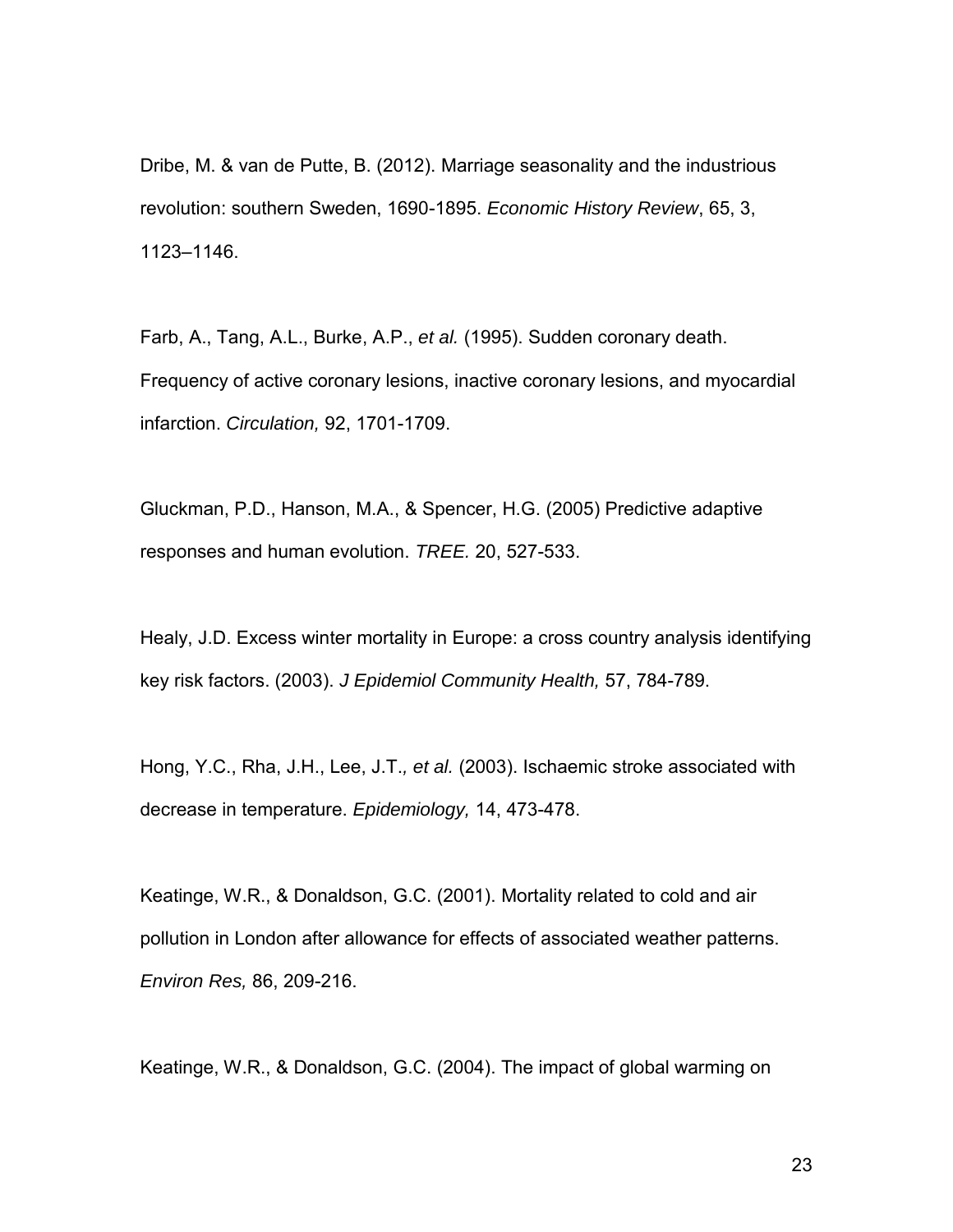Dribe, M. & van de Putte, B. (2012). Marriage seasonality and the industrious revolution: southern Sweden, 1690-1895. *Economic History Review*, 65, 3, 1123–1146.

Farb, A., Tang, A.L., Burke, A.P., *et al.* (1995). Sudden coronary death. Frequency of active coronary lesions, inactive coronary lesions, and myocardial infarction. *Circulation,* 92, 1701-1709.

Gluckman, P.D., Hanson, M.A., & Spencer, H.G. (2005) Predictive adaptive responses and human evolution. *TREE.* 20, 527-533.

Healy, J.D. Excess winter mortality in Europe: a cross country analysis identifying key risk factors. (2003). *J Epidemiol Community Health,* 57, 784-789.

Hong, Y.C., Rha, J.H., Lee, J.T.*, et al.* (2003). Ischaemic stroke associated with decrease in temperature. *Epidemiology,* 14, 473-478.

Keatinge, W.R., & Donaldson, G.C. (2001). Mortality related to cold and air pollution in London after allowance for effects of associated weather patterns. *Environ Res,* 86, 209-216.

Keatinge, W.R., & Donaldson, G.C. (2004). The impact of global warming on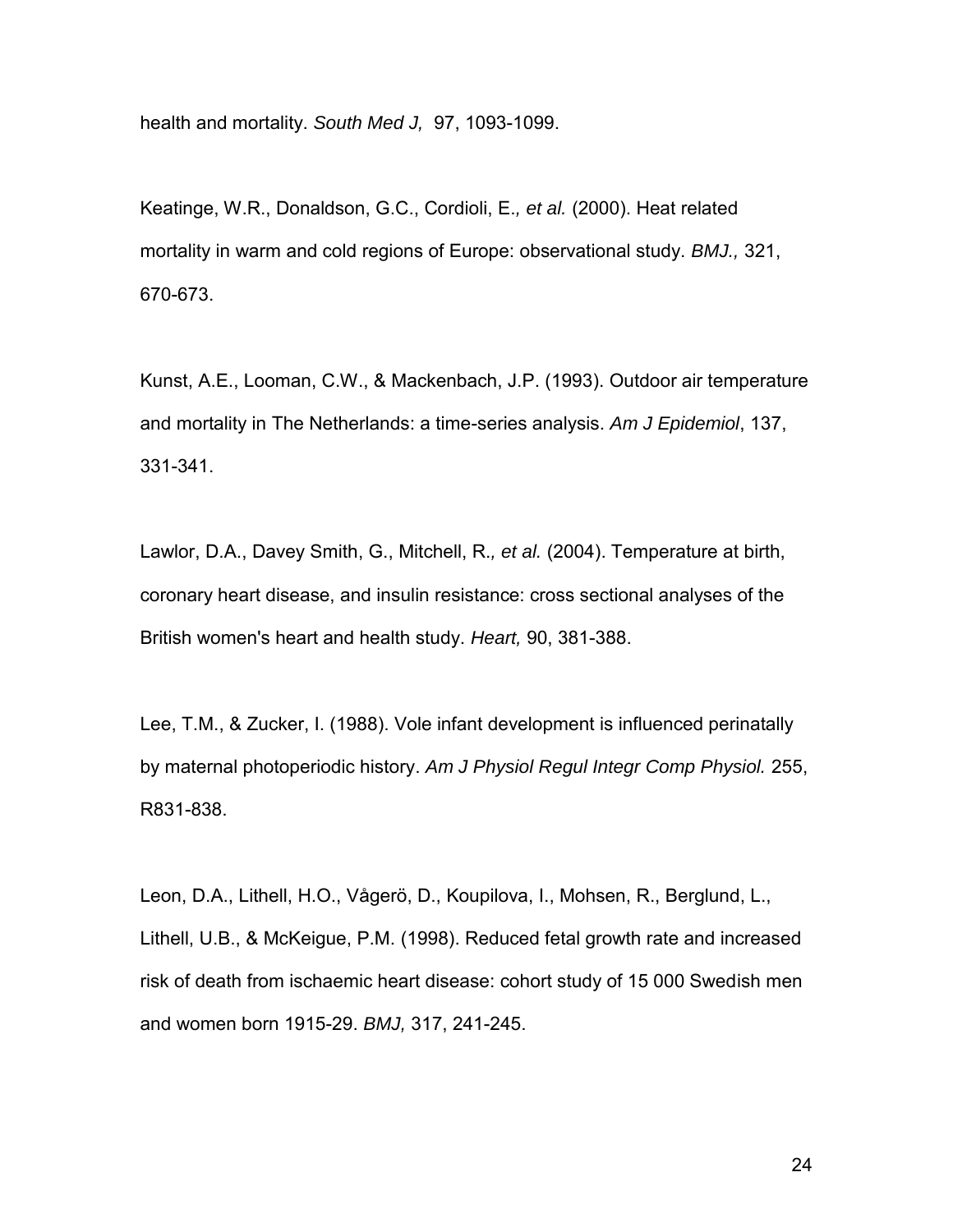health and mortality. *South Med J,* 97, 1093-1099.

Keatinge, W.R., Donaldson, G.C., Cordioli, E.*, et al.* (2000). Heat related mortality in warm and cold regions of Europe: observational study. *BMJ.,* 321, 670-673.

Kunst, A.E., Looman, C.W., & Mackenbach, J.P. (1993). Outdoor air temperature and mortality in The Netherlands: a time-series analysis. *Am J Epidemiol*, 137, 331-341.

Lawlor, D.A., Davey Smith, G., Mitchell, R.*, et al.* (2004). Temperature at birth, coronary heart disease, and insulin resistance: cross sectional analyses of the British women's heart and health study. *Heart,* 90, 381-388.

Lee, T.M., & Zucker, I. (1988). Vole infant development is influenced perinatally by maternal photoperiodic history. *Am J Physiol Regul Integr Comp Physiol.* 255, R831-838.

Leon, D.A., Lithell, H.O., Vågerö, D., Koupilova, I., Mohsen, R., Berglund, L., Lithell, U.B., & McKeigue, P.M. (1998). Reduced fetal growth rate and increased risk of death from ischaemic heart disease: cohort study of 15 000 Swedish men and women born 1915-29. *BMJ,* 317, 241-245.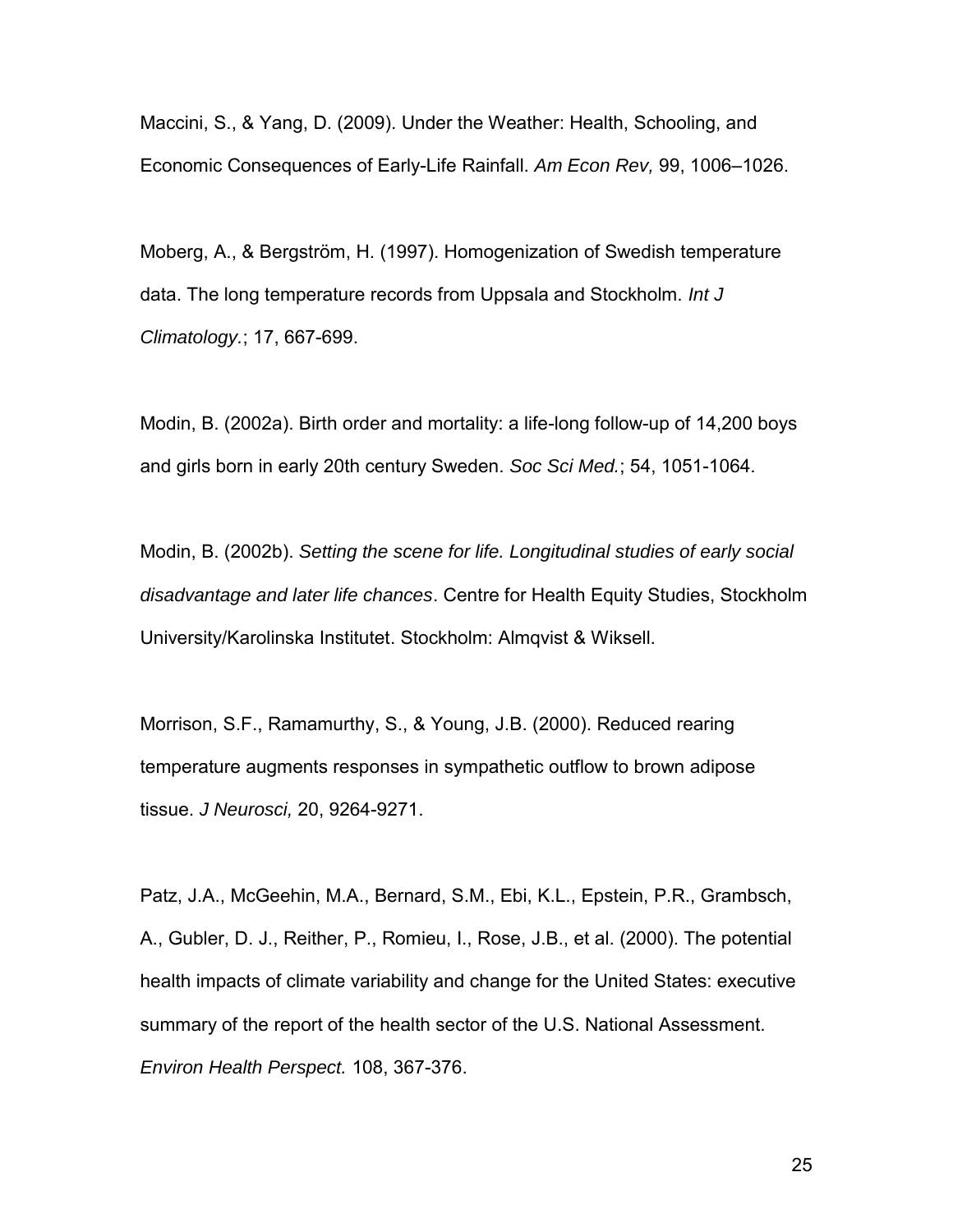Maccini, S., & Yang, D. (2009). Under the Weather: Health, Schooling, and Economic Consequences of Early-Life Rainfall. *Am Econ Rev,* 99, 1006–1026.

Moberg, A., & Bergström, H. (1997). Homogenization of Swedish temperature data. The long temperature records from Uppsala and Stockholm. *Int J Climatology.*; 17, 667-699.

Modin, B. (2002a). Birth order and mortality: a life-long follow-up of 14,200 boys and girls born in early 20th century Sweden. *Soc Sci Med.*; 54, 1051-1064.

Modin, B. (2002b). *Setting the scene for life. Longitudinal studies of early social disadvantage and later life chances*. Centre for Health Equity Studies, Stockholm University/Karolinska Institutet. Stockholm: Almqvist & Wiksell.

Morrison, S.F., Ramamurthy, S., & Young, J.B. (2000). Reduced rearing temperature augments responses in sympathetic outflow to brown adipose tissue. *J Neurosci,* 20, 9264-9271.

Patz, J.A., McGeehin, M.A., Bernard, S.M., Ebi, K.L., Epstein, P.R., Grambsch, A., Gubler, D. J., Reither, P., Romieu, I., Rose, J.B., et al. (2000). The potential health impacts of climate variability and change for the United States: executive summary of the report of the health sector of the U.S. National Assessment. *Environ Health Perspect.* 108, 367-376.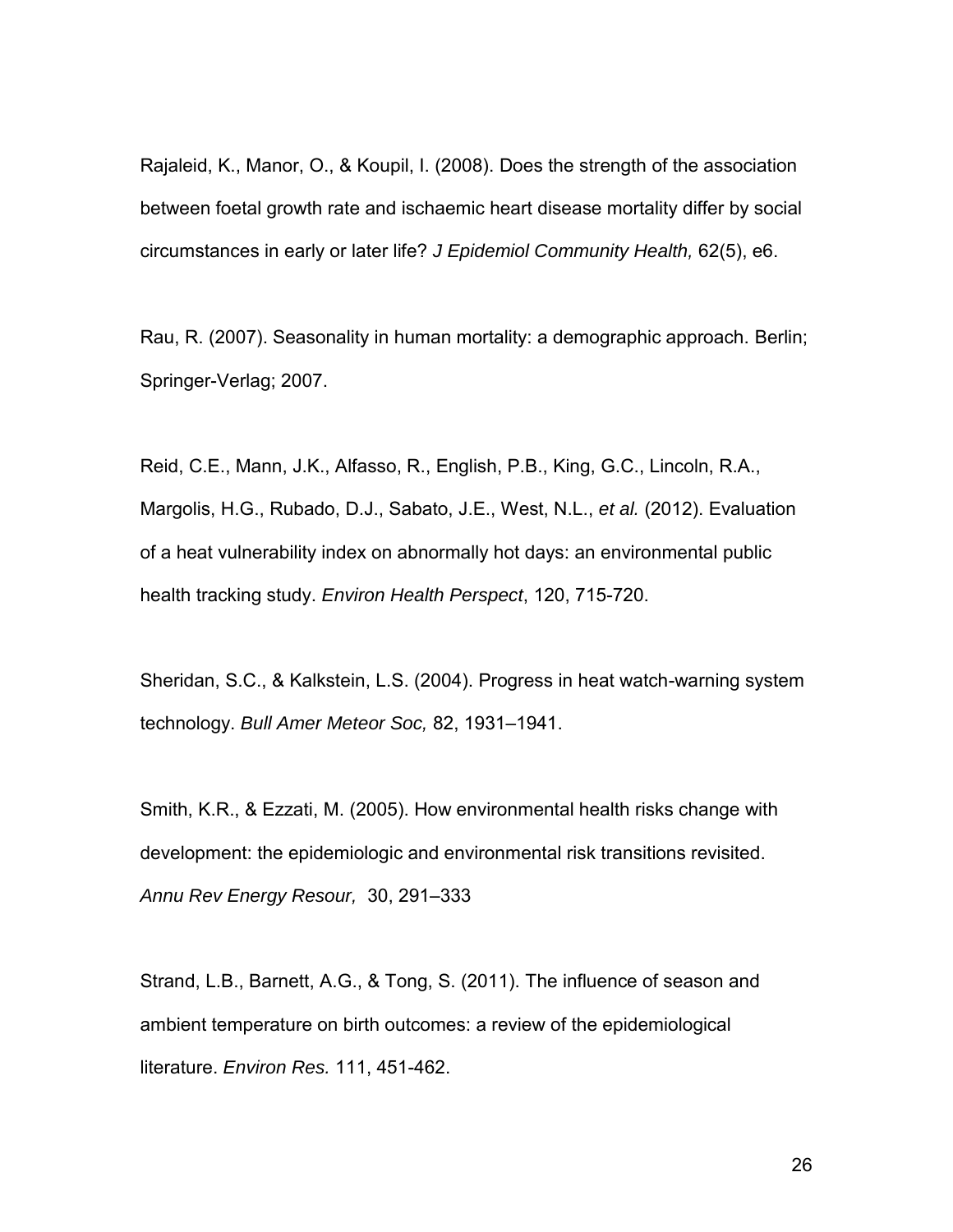Rajaleid, K., Manor, O., & Koupil, I. (2008). Does the strength of the association between foetal growth rate and ischaemic heart disease mortality differ by social circumstances in early or later life? *J Epidemiol Community Health,* 62(5), e6.

Rau, R. (2007). Seasonality in human mortality: a demographic approach. Berlin; Springer-Verlag; 2007.

Reid, C.E., Mann, J.K., Alfasso, R., English, P.B., King, G.C., Lincoln, R.A., Margolis, H.G., Rubado, D.J., Sabato, J.E., West, N.L., *et al.* (2012). Evaluation of a heat vulnerability index on abnormally hot days: an environmental public health tracking study. *Environ Health Perspect*, 120, 715-720.

Sheridan, S.C., & Kalkstein, L.S. (2004). Progress in heat watch-warning system technology. *Bull Amer Meteor Soc,* 82, 1931–1941.

Smith, K.R., & Ezzati, M. (2005). How environmental health risks change with development: the epidemiologic and environmental risk transitions revisited. *Annu Rev Energy Resour,* 30, 291–333

Strand, L.B., Barnett, A.G., & Tong, S. (2011). The influence of season and ambient temperature on birth outcomes: a review of the epidemiological literature. *Environ Res.* 111, 451-462.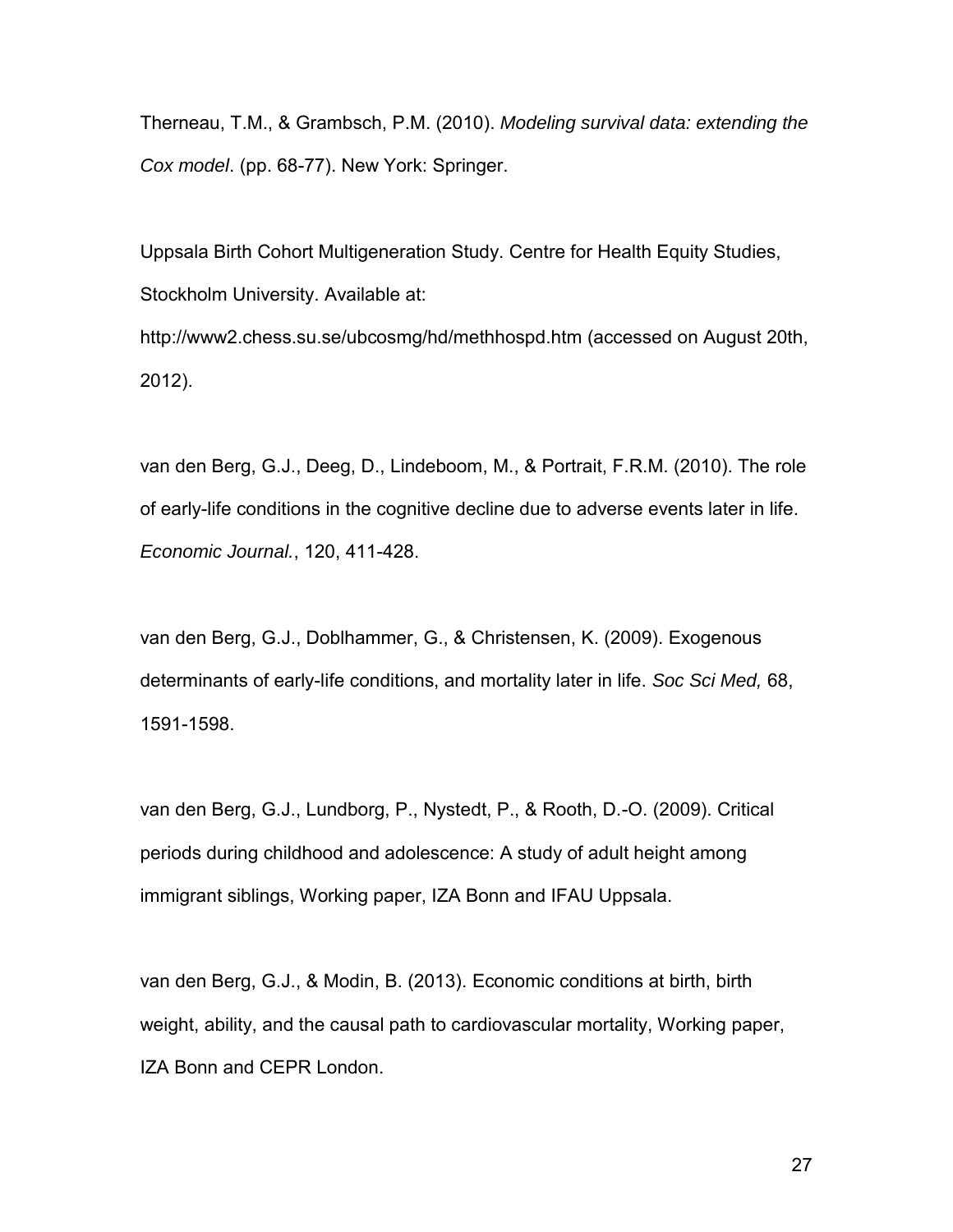Therneau, T.M., & Grambsch, P.M. (2010). *Modeling survival data: extending the Cox model*. (pp. 68-77). New York: Springer.

Uppsala Birth Cohort Multigeneration Study. Centre for Health Equity Studies, Stockholm University. Available at: http://www2.chess.su.se/ubcosmg/hd/methhospd.htm (accessed on August 20th,

2012).

van den Berg, G.J., Deeg, D., Lindeboom, M., & Portrait, F.R.M. (2010). The role of early-life conditions in the cognitive decline due to adverse events later in life. *Economic Journal.*, 120, 411-428.

van den Berg, G.J., Doblhammer, G., & Christensen, K. (2009). Exogenous determinants of early-life conditions, and mortality later in life. *Soc Sci Med,* 68, 1591-1598.

van den Berg, G.J., Lundborg, P., Nystedt, P., & Rooth, D.-O. (2009). Critical periods during childhood and adolescence: A study of adult height among immigrant siblings, Working paper, IZA Bonn and IFAU Uppsala.

van den Berg, G.J., & Modin, B. (2013). Economic conditions at birth, birth weight, ability, and the causal path to cardiovascular mortality, Working paper, IZA Bonn and CEPR London.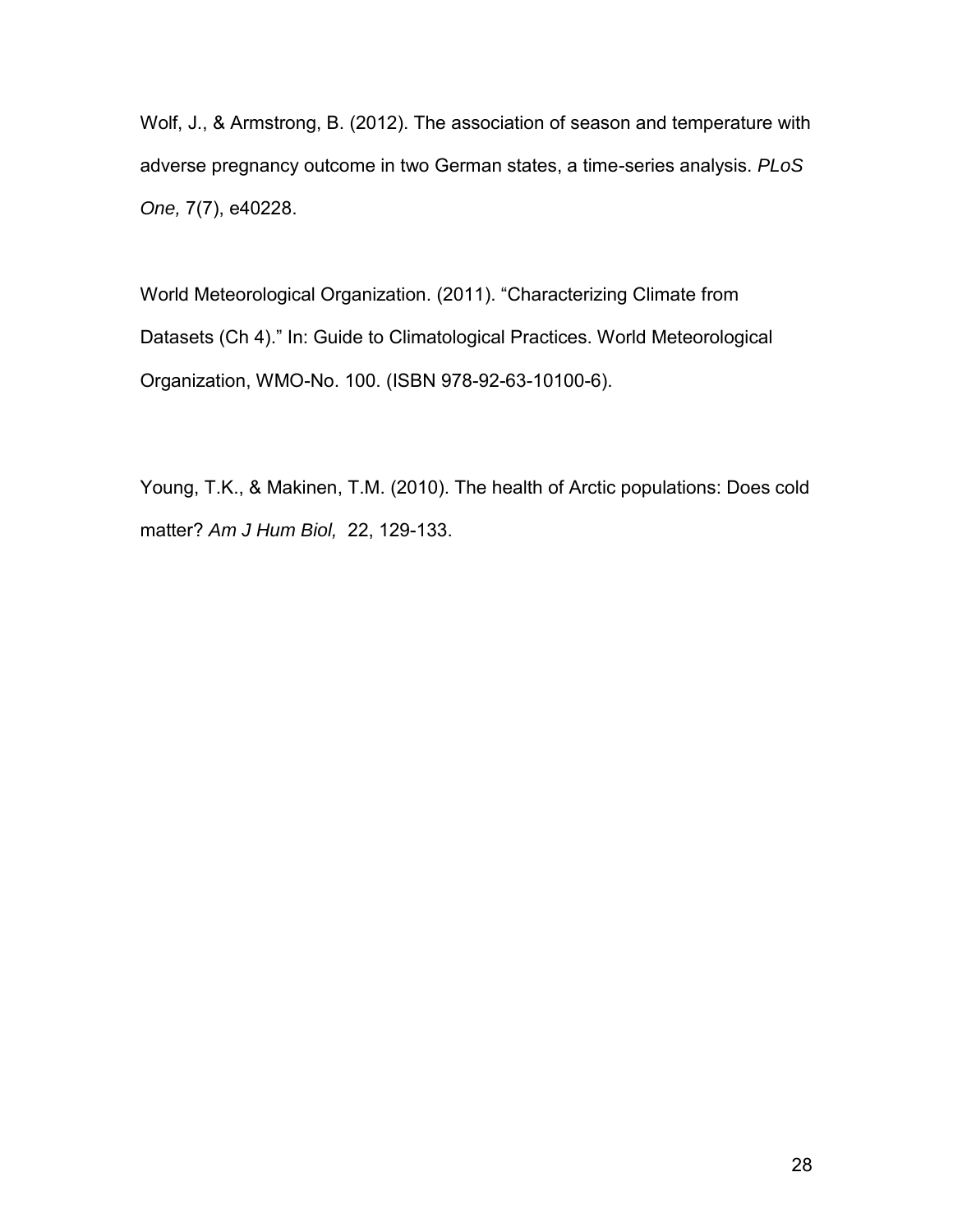Wolf, J., & Armstrong, B. (2012). The association of season and temperature with adverse pregnancy outcome in two German states, a time-series analysis. *PLoS One,* 7(7), e40228.

World Meteorological Organization. (2011). "Characterizing Climate from Datasets (Ch 4)." In: Guide to Climatological Practices. World Meteorological Organization, WMO-No. 100. (ISBN 978-92-63-10100-6).

Young, T.K., & Makinen, T.M. (2010). The health of Arctic populations: Does cold matter? *Am J Hum Biol,* 22, 129-133.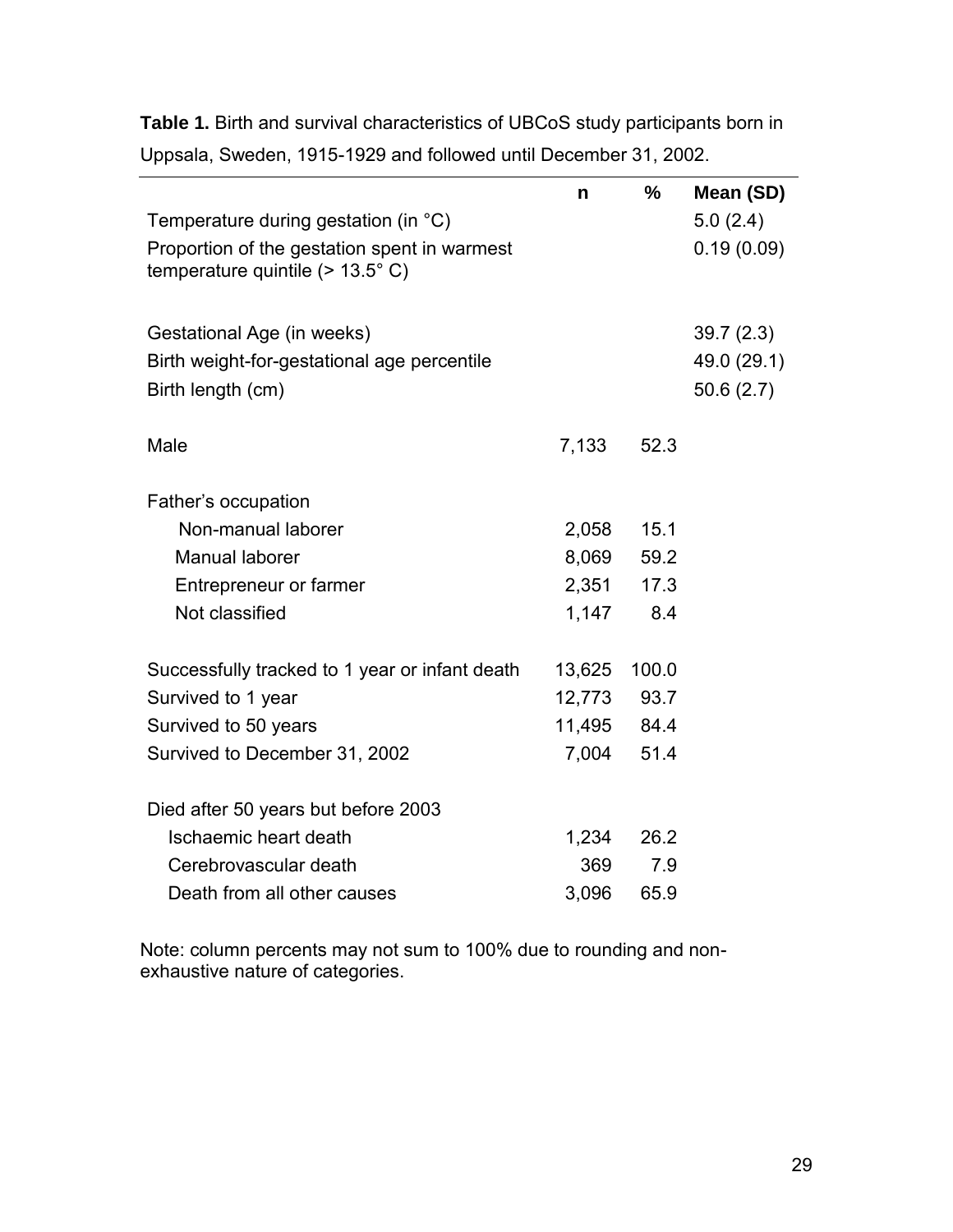|                                                | n      | $\frac{0}{0}$ | Mean (SD)   |
|------------------------------------------------|--------|---------------|-------------|
| Temperature during gestation (in °C)           |        |               | 5.0(2.4)    |
| Proportion of the gestation spent in warmest   |        |               | 0.19(0.09)  |
| temperature quintile ( $> 13.5^{\circ}$ C)     |        |               |             |
|                                                |        |               |             |
| Gestational Age (in weeks)                     |        |               | 39.7(2.3)   |
| Birth weight-for-gestational age percentile    |        |               | 49.0 (29.1) |
| Birth length (cm)                              |        |               | 50.6(2.7)   |
|                                                |        |               |             |
| Male                                           | 7,133  | 52.3          |             |
| Father's occupation                            |        |               |             |
| Non-manual laborer                             | 2,058  | 15.1          |             |
| Manual laborer                                 | 8,069  | 59.2          |             |
| Entrepreneur or farmer                         | 2,351  | 17.3          |             |
| Not classified                                 | 1,147  | 8.4           |             |
|                                                |        |               |             |
| Successfully tracked to 1 year or infant death | 13,625 | 100.0         |             |
| Survived to 1 year                             | 12,773 | 93.7          |             |
| Survived to 50 years                           | 11,495 | 84.4          |             |
| Survived to December 31, 2002                  | 7,004  | 51.4          |             |
|                                                |        |               |             |
| Died after 50 years but before 2003            |        |               |             |
| Ischaemic heart death                          | 1,234  | 26.2          |             |
| Cerebrovascular death                          | 369    | 7.9           |             |
| Death from all other causes                    | 3,096  | 65.9          |             |

**Table 1.** Birth and survival characteristics of UBCoS study participants born in Uppsala, Sweden, 1915-1929 and followed until December 31, 2002.

Note: column percents may not sum to 100% due to rounding and nonexhaustive nature of categories.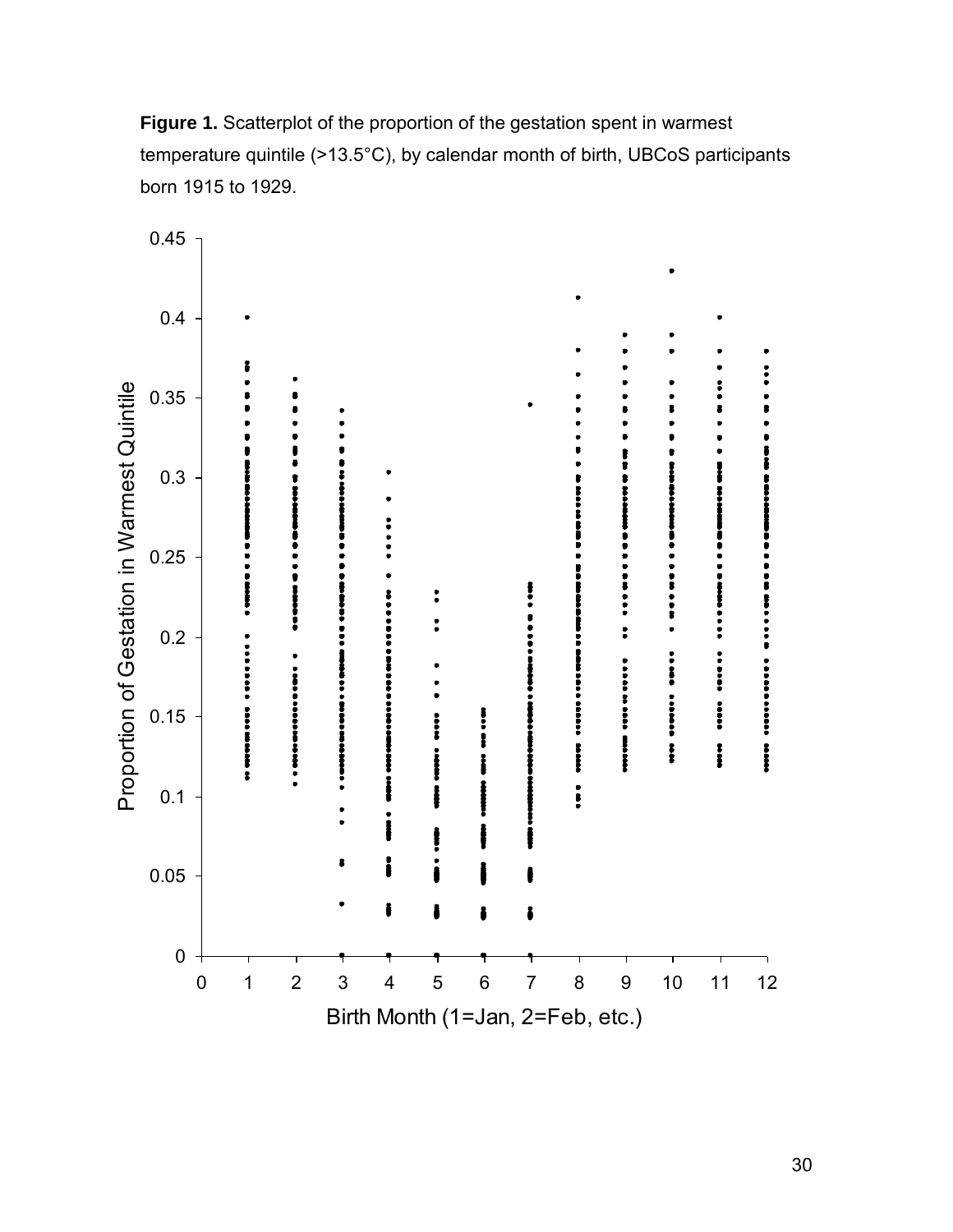

**Figure 1.** Scatterplot of the proportion of the gestation spent in warmest temperature quintile (>13.5°C), by calendar month of birth, UBCoS participants born 1915 to 1929.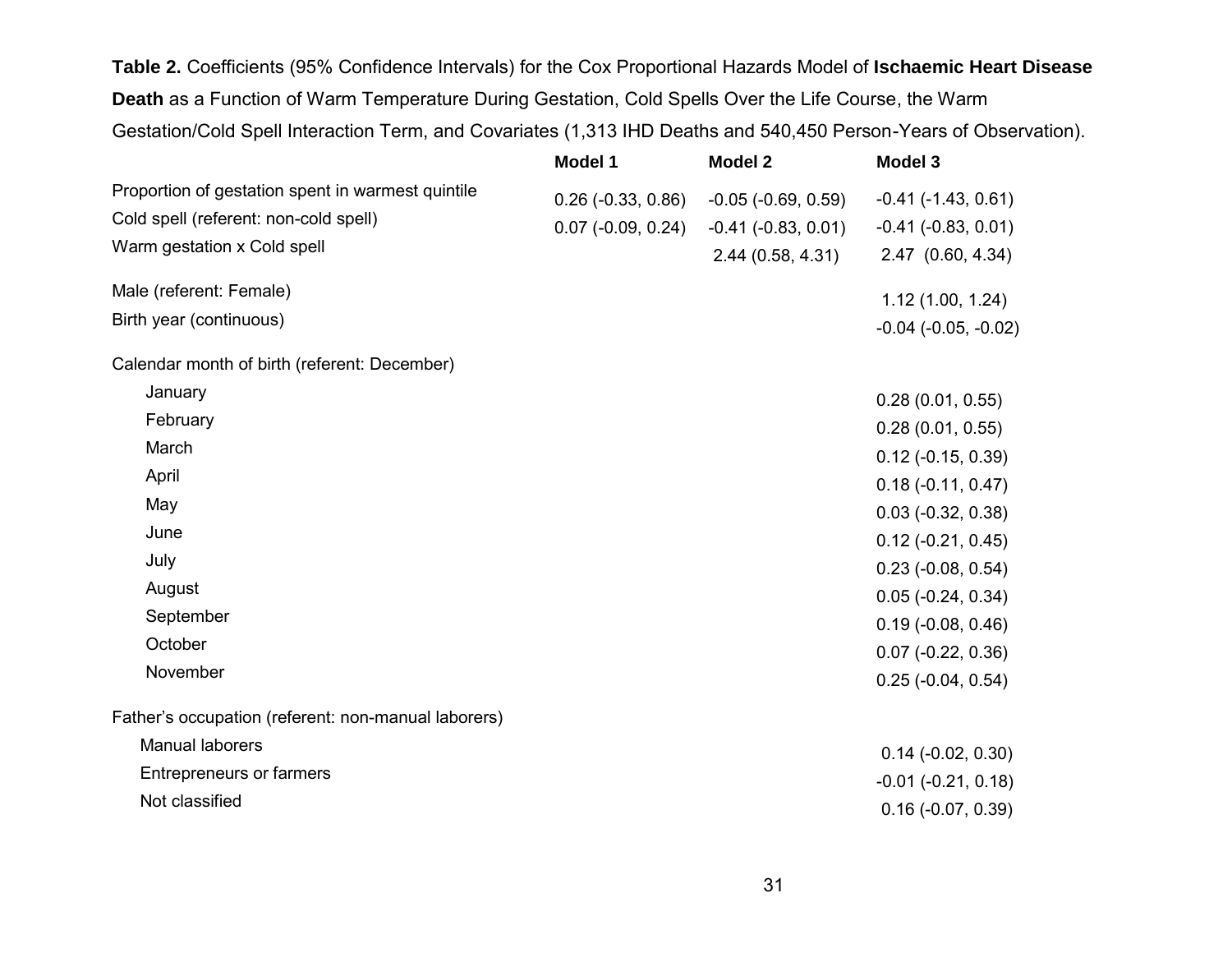**Table 2.** Coefficients (95% Confidence Intervals) for the Cox Proportional Hazards Model of **Ischaemic Heart Disease Death** as a Function of Warm Temperature During Gestation, Cold Spells Over the Life Course, the Warm Gestation/Cold Spell Interaction Term, and Covariates (1,313 IHD Deaths and 540,450 Person-Years of Observation).

|                                                     | <b>Model 1</b>              | <b>Model 2</b>          | <b>Model 3</b>              |
|-----------------------------------------------------|-----------------------------|-------------------------|-----------------------------|
| Proportion of gestation spent in warmest quintile   | $0.26$ ( $-0.33$ , $0.86$ ) | $-0.05$ $(-0.69, 0.59)$ | $-0.41$ $(-1.43, 0.61)$     |
| Cold spell (referent: non-cold spell)               | $0.07$ (-0.09, 0.24)        | $-0.41$ $(-0.83, 0.01)$ | $-0.41$ $(-0.83, 0.01)$     |
| Warm gestation x Cold spell                         |                             | 2.44(0.58, 4.31)        | 2.47 (0.60, 4.34)           |
| Male (referent: Female)                             |                             |                         |                             |
| Birth year (continuous)                             |                             |                         | 1.12(1.00, 1.24)            |
|                                                     |                             |                         | $-0.04$ $(-0.05, -0.02)$    |
| Calendar month of birth (referent: December)        |                             |                         |                             |
| January                                             |                             |                         | 0.28(0.01, 0.55)            |
| February                                            |                             |                         | 0.28(0.01, 0.55)            |
| March                                               |                             |                         | $0.12$ (-0.15, 0.39)        |
| April                                               |                             |                         | $0.18(-0.11, 0.47)$         |
| May                                                 |                             |                         | $0.03$ (-0.32, 0.38)        |
| June                                                |                             |                         | $0.12$ (-0.21, 0.45)        |
| July                                                |                             |                         | $0.23$ (-0.08, 0.54)        |
| August                                              |                             |                         | $0.05$ ( $-0.24$ , $0.34$ ) |
| September                                           |                             |                         | $0.19(-0.08, 0.46)$         |
| October                                             |                             |                         | $0.07$ (-0.22, 0.36)        |
| November                                            |                             |                         | $0.25$ ( $-0.04$ , $0.54$ ) |
| Father's occupation (referent: non-manual laborers) |                             |                         |                             |
| Manual laborers                                     |                             |                         | $0.14$ (-0.02, 0.30)        |
| <b>Entrepreneurs or farmers</b>                     |                             |                         | $-0.01$ $(-0.21, 0.18)$     |
| Not classified                                      |                             |                         | $0.16$ (-0.07, 0.39)        |
|                                                     |                             |                         |                             |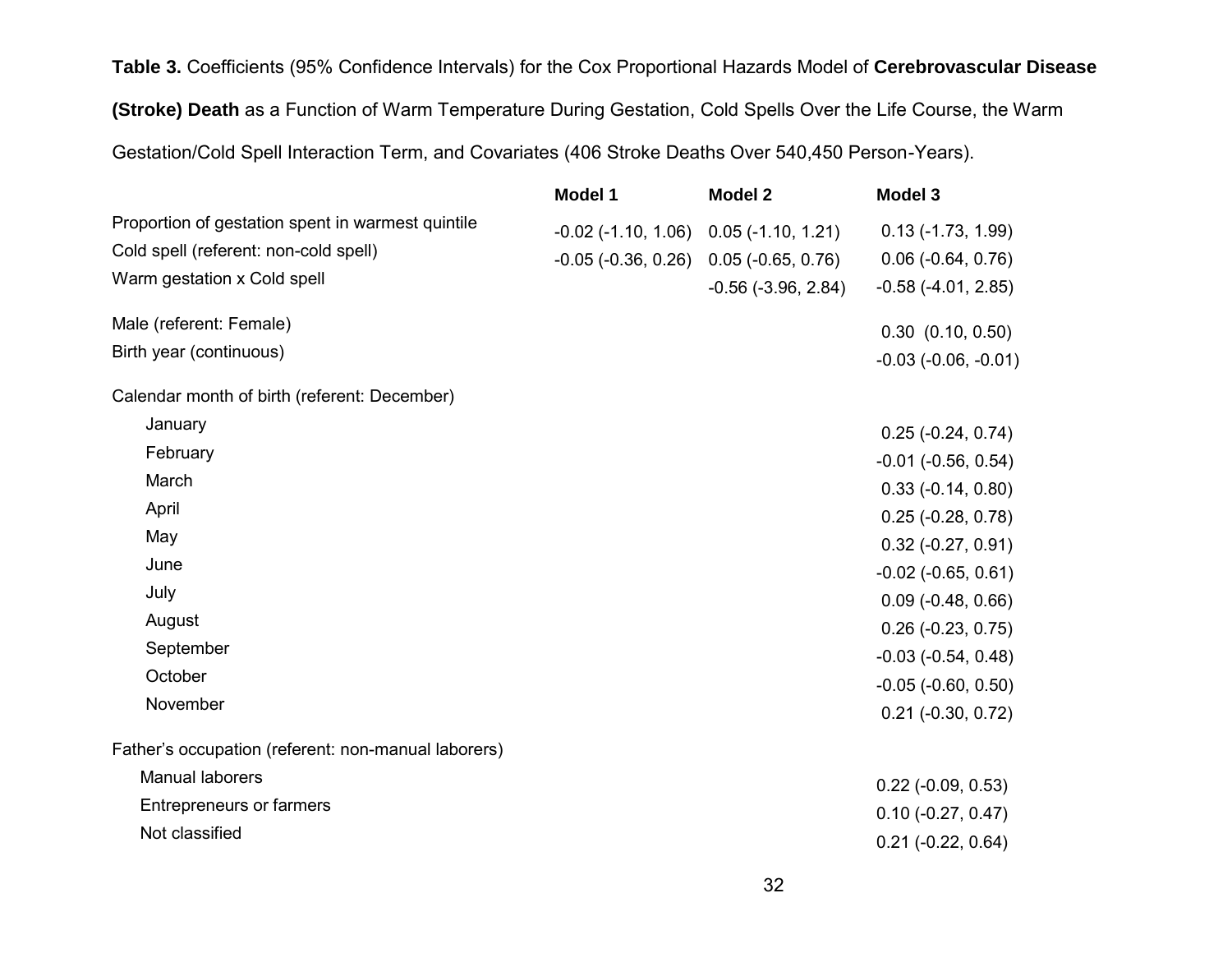**Table 3.** Coefficients (95% Confidence Intervals) for the Cox Proportional Hazards Model of **Cerebrovascular Disease (Stroke) Death** as a Function of Warm Temperature During Gestation, Cold Spells Over the Life Course, the Warm Gestation/Cold Spell Interaction Term, and Covariates (406 Stroke Deaths Over 540,450 Person-Years).

|                                                                                                                           | <b>Model 1</b>                                                                                             | <b>Model 2</b>          | <b>Model 3</b>                                                                |
|---------------------------------------------------------------------------------------------------------------------------|------------------------------------------------------------------------------------------------------------|-------------------------|-------------------------------------------------------------------------------|
| Proportion of gestation spent in warmest quintile<br>Cold spell (referent: non-cold spell)<br>Warm gestation x Cold spell | $-0.02$ ( $-1.10$ , $1.06$ ) 0.05 ( $-1.10$ , $1.21$ )<br>$-0.05$ ( $-0.36$ , 0.26) 0.05 ( $-0.65$ , 0.76) | $-0.56$ $(-3.96, 2.84)$ | $0.13(-1.73, 1.99)$<br>$0.06$ ( $-0.64$ , $0.76$ )<br>$-0.58$ $(-4.01, 2.85)$ |
| Male (referent: Female)                                                                                                   |                                                                                                            |                         | $0.30$ $(0.10, 0.50)$                                                         |
| Birth year (continuous)                                                                                                   |                                                                                                            |                         | $-0.03$ $(-0.06, -0.01)$                                                      |
| Calendar month of birth (referent: December)                                                                              |                                                                                                            |                         |                                                                               |
| January                                                                                                                   |                                                                                                            |                         | $0.25$ (-0.24, 0.74)                                                          |
| February                                                                                                                  |                                                                                                            |                         | $-0.01$ $(-0.56, 0.54)$                                                       |
| March                                                                                                                     |                                                                                                            |                         | $0.33(-0.14, 0.80)$                                                           |
| April                                                                                                                     |                                                                                                            |                         | $0.25$ (-0.28, 0.78)                                                          |
| May                                                                                                                       |                                                                                                            |                         | $0.32$ (-0.27, 0.91)                                                          |
| June                                                                                                                      |                                                                                                            |                         | $-0.02$ $(-0.65, 0.61)$                                                       |
| July                                                                                                                      |                                                                                                            |                         | $0.09$ ( $-0.48$ , $0.66$ )                                                   |
| August                                                                                                                    |                                                                                                            |                         | $0.26$ (-0.23, 0.75)                                                          |
| September                                                                                                                 |                                                                                                            |                         | $-0.03$ $(-0.54, 0.48)$                                                       |
| October                                                                                                                   |                                                                                                            |                         | $-0.05$ $(-0.60, 0.50)$                                                       |
| November                                                                                                                  |                                                                                                            |                         | $0.21$ (-0.30, 0.72)                                                          |
| Father's occupation (referent: non-manual laborers)                                                                       |                                                                                                            |                         |                                                                               |
| Manual laborers                                                                                                           |                                                                                                            |                         | $0.22$ (-0.09, 0.53)                                                          |
| <b>Entrepreneurs or farmers</b>                                                                                           |                                                                                                            |                         | $0.10 (-0.27, 0.47)$                                                          |
| Not classified                                                                                                            |                                                                                                            |                         | $0.21$ (-0.22, 0.64)                                                          |
|                                                                                                                           |                                                                                                            |                         |                                                                               |